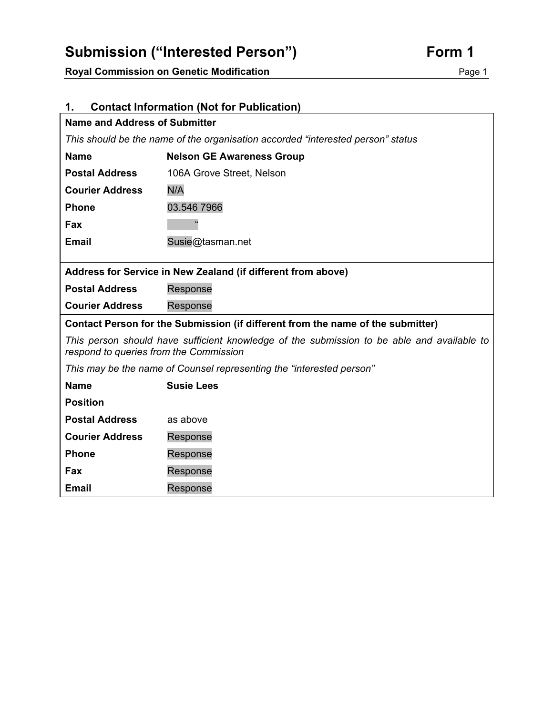# Submission ("Interested Person") **Form 1**

**Royal Commission on Genetic Modification**  Page 1

| <b>Contact Information (Not for Publication)</b><br>1.                                                                               |                                  |
|--------------------------------------------------------------------------------------------------------------------------------------|----------------------------------|
| Name and Address of Submitter                                                                                                        |                                  |
| This should be the name of the organisation accorded "interested person" status                                                      |                                  |
| <b>Name</b>                                                                                                                          | <b>Nelson GE Awareness Group</b> |
| <b>Postal Address</b>                                                                                                                | 106A Grove Street, Nelson        |
| <b>Courier Address</b>                                                                                                               | N/A                              |
| <b>Phone</b>                                                                                                                         | 03.546 7966                      |
| Fax                                                                                                                                  |                                  |
| <b>Email</b>                                                                                                                         | Susie@tasman.net                 |
|                                                                                                                                      |                                  |
| Address for Service in New Zealand (if different from above)                                                                         |                                  |
| <b>Postal Address</b>                                                                                                                | Response                         |
| <b>Courier Address</b>                                                                                                               | Response                         |
| Contact Person for the Submission (if different from the name of the submitter)                                                      |                                  |
| This person should have sufficient knowledge of the submission to be able and available to<br>respond to queries from the Commission |                                  |
| This may be the name of Counsel representing the "interested person"                                                                 |                                  |
| <b>Name</b>                                                                                                                          | <b>Susie Lees</b>                |
| <b>Position</b>                                                                                                                      |                                  |
| <b>Postal Address</b>                                                                                                                | as above                         |
| <b>Courier Address</b>                                                                                                               | Response                         |
| <b>Phone</b>                                                                                                                         | Response                         |
| <b>Fax</b>                                                                                                                           | Response                         |
| <b>Email</b>                                                                                                                         | Response                         |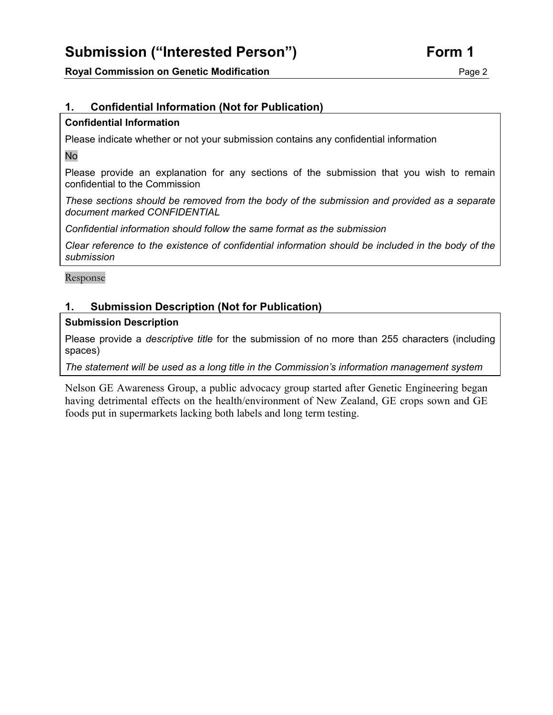# **Submission ("Interested Person") Form 1**

### **Royal Commission on Genetic Modification**  Page 2

### **1. Confidential Information (Not for Publication)**

### **Confidential Information**

Please indicate whether or not your submission contains any confidential information

No

Please provide an explanation for any sections of the submission that you wish to remain confidential to the Commission

*These sections should be removed from the body of the submission and provided as a separate document marked CONFIDENTIAL* 

*Confidential information should follow the same format as the submission* 

*Clear reference to the existence of confidential information should be included in the body of the submission* 

Response

### **1. Submission Description (Not for Publication)**

### **Submission Description**

Please provide a *descriptive title* for the submission of no more than 255 characters (including spaces)

*The statement will be used as a long title in the Commission's information management system*

Nelson GE Awareness Group, a public advocacy group started after Genetic Engineering began having detrimental effects on the health/environment of New Zealand, GE crops sown and GE foods put in supermarkets lacking both labels and long term testing.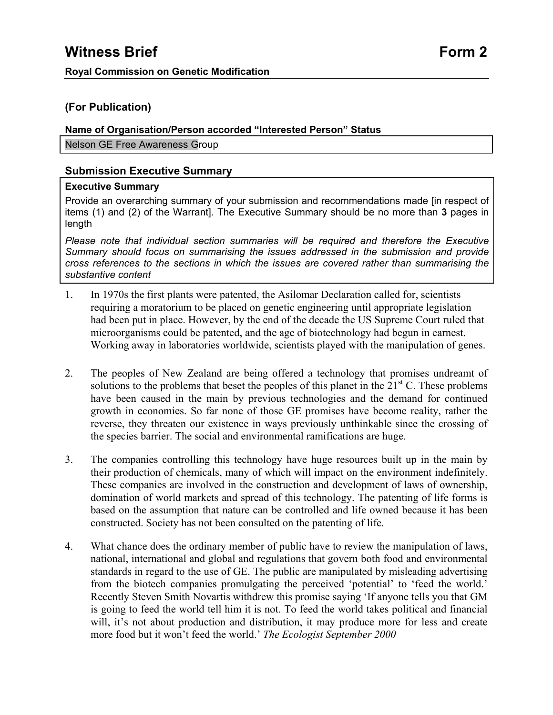### **(For Publication)**

### **Name of Organisation/Person accorded "Interested Person" Status**

Nelson GE Free Awareness Group

### **Submission Executive Summary**

### **Executive Summary**

Provide an overarching summary of your submission and recommendations made [in respect of items (1) and (2) of the Warrant]. The Executive Summary should be no more than **3** pages in length

*Please note that individual section summaries will be required and therefore the Executive Summary should focus on summarising the issues addressed in the submission and provide cross references to the sections in which the issues are covered rather than summarising the substantive content* 

- 1. In 1970s the first plants were patented, the Asilomar Declaration called for, scientists requiring a moratorium to be placed on genetic engineering until appropriate legislation had been put in place. However, by the end of the decade the US Supreme Court ruled that microorganisms could be patented, and the age of biotechnology had begun in earnest. Working away in laboratories worldwide, scientists played with the manipulation of genes.
- 2. The peoples of New Zealand are being offered a technology that promises undreamt of solutions to the problems that beset the peoples of this planet in the  $21<sup>st</sup>$  C. These problems have been caused in the main by previous technologies and the demand for continued growth in economies. So far none of those GE promises have become reality, rather the reverse, they threaten our existence in ways previously unthinkable since the crossing of the species barrier. The social and environmental ramifications are huge.
- 3. The companies controlling this technology have huge resources built up in the main by their production of chemicals, many of which will impact on the environment indefinitely. These companies are involved in the construction and development of laws of ownership, domination of world markets and spread of this technology. The patenting of life forms is based on the assumption that nature can be controlled and life owned because it has been constructed. Society has not been consulted on the patenting of life.
- 4. What chance does the ordinary member of public have to review the manipulation of laws, national, international and global and regulations that govern both food and environmental standards in regard to the use of GE. The public are manipulated by misleading advertising from the biotech companies promulgating the perceived 'potential' to 'feed the world.' Recently Steven Smith Novartis withdrew this promise saying 'If anyone tells you that GM is going to feed the world tell him it is not. To feed the world takes political and financial will, it's not about production and distribution, it may produce more for less and create more food but it won't feed the world.' *The Ecologist September 2000*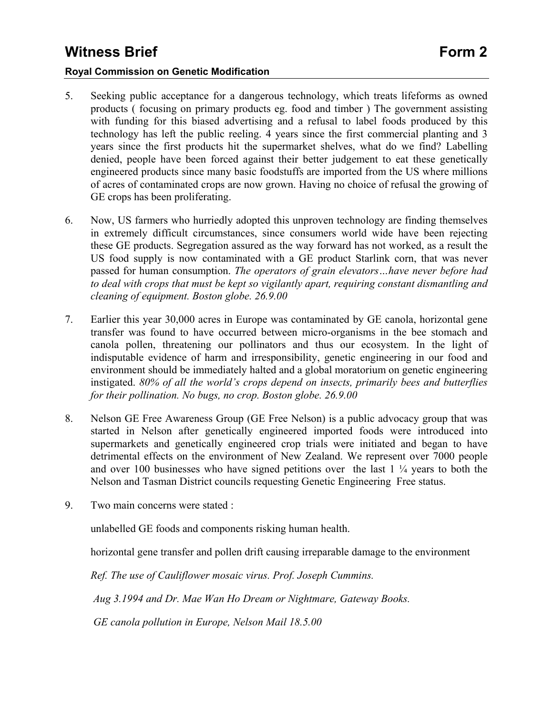### **Royal Commission on Genetic Modification**

- 5. Seeking public acceptance for a dangerous technology, which treats lifeforms as owned products ( focusing on primary products eg. food and timber ) The government assisting with funding for this biased advertising and a refusal to label foods produced by this technology has left the public reeling. 4 years since the first commercial planting and 3 years since the first products hit the supermarket shelves, what do we find? Labelling denied, people have been forced against their better judgement to eat these genetically engineered products since many basic foodstuffs are imported from the US where millions of acres of contaminated crops are now grown. Having no choice of refusal the growing of GE crops has been proliferating.
- 6. Now, US farmers who hurriedly adopted this unproven technology are finding themselves in extremely difficult circumstances, since consumers world wide have been rejecting these GE products. Segregation assured as the way forward has not worked, as a result the US food supply is now contaminated with a GE product Starlink corn, that was never passed for human consumption. *The operators of grain elevators…have never before had to deal with crops that must be kept so vigilantly apart, requiring constant dismantling and cleaning of equipment. Boston globe. 26.9.00*
- 7. Earlier this year 30,000 acres in Europe was contaminated by GE canola, horizontal gene transfer was found to have occurred between micro-organisms in the bee stomach and canola pollen, threatening our pollinators and thus our ecosystem. In the light of indisputable evidence of harm and irresponsibility, genetic engineering in our food and environment should be immediately halted and a global moratorium on genetic engineering instigated. *80% of all the world's crops depend on insects, primarily bees and butterflies for their pollination. No bugs, no crop. Boston globe. 26.9.00*
- 8. Nelson GE Free Awareness Group (GE Free Nelson) is a public advocacy group that was started in Nelson after genetically engineered imported foods were introduced into supermarkets and genetically engineered crop trials were initiated and began to have detrimental effects on the environment of New Zealand. We represent over 7000 people and over 100 businesses who have signed petitions over the last 1 ¼ years to both the Nelson and Tasman District councils requesting Genetic Engineering Free status.
- 9. Two main concerns were stated :

unlabelled GE foods and components risking human health.

horizontal gene transfer and pollen drift causing irreparable damage to the environment

*Ref. The use of Cauliflower mosaic virus. Prof. Joseph Cummins.* 

 *Aug 3.1994 and Dr. Mae Wan Ho Dream or Nightmare, Gateway Books.* 

 *GE canola pollution in Europe, Nelson Mail 18.5.00*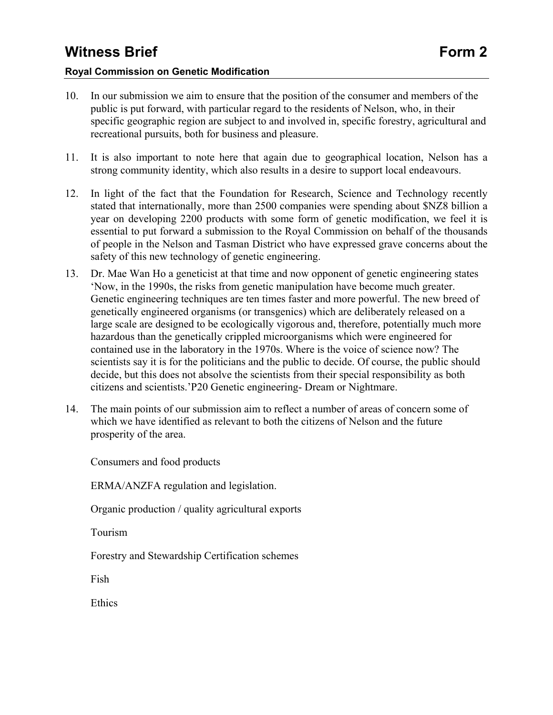### **Royal Commission on Genetic Modification**

- 10. In our submission we aim to ensure that the position of the consumer and members of the public is put forward, with particular regard to the residents of Nelson, who, in their specific geographic region are subject to and involved in, specific forestry, agricultural and recreational pursuits, both for business and pleasure.
- 11. It is also important to note here that again due to geographical location, Nelson has a strong community identity, which also results in a desire to support local endeavours.
- 12. In light of the fact that the Foundation for Research, Science and Technology recently stated that internationally, more than 2500 companies were spending about \$NZ8 billion a year on developing 2200 products with some form of genetic modification, we feel it is essential to put forward a submission to the Royal Commission on behalf of the thousands of people in the Nelson and Tasman District who have expressed grave concerns about the safety of this new technology of genetic engineering.
- 13. Dr. Mae Wan Ho a geneticist at that time and now opponent of genetic engineering states 'Now, in the 1990s, the risks from genetic manipulation have become much greater. Genetic engineering techniques are ten times faster and more powerful. The new breed of genetically engineered organisms (or transgenics) which are deliberately released on a large scale are designed to be ecologically vigorous and, therefore, potentially much more hazardous than the genetically crippled microorganisms which were engineered for contained use in the laboratory in the 1970s. Where is the voice of science now? The scientists say it is for the politicians and the public to decide. Of course, the public should decide, but this does not absolve the scientists from their special responsibility as both citizens and scientists.'P20 Genetic engineering- Dream or Nightmare.
- 14. The main points of our submission aim to reflect a number of areas of concern some of which we have identified as relevant to both the citizens of Nelson and the future prosperity of the area.

Consumers and food products

ERMA/ANZFA regulation and legislation.

Organic production / quality agricultural exports

Tourism

Forestry and Stewardship Certification schemes

Fish

**Ethics**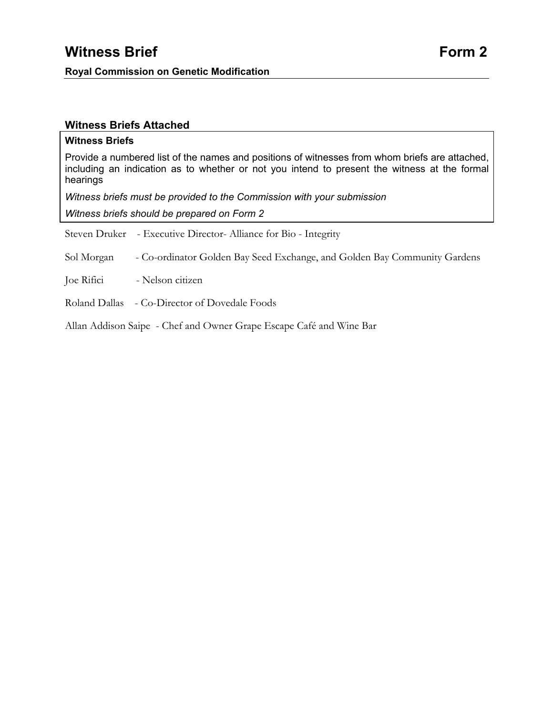### **Witness Briefs Attached**

#### **Witness Briefs**

Provide a numbered list of the names and positions of witnesses from whom briefs are attached, including an indication as to whether or not you intend to present the witness at the formal hearings

*Witness briefs must be provided to the Commission with your submission* 

*Witness briefs should be prepared on Form 2* 

Steven Druker - Executive Director- Alliance for Bio - Integrity

Sol Morgan - Co-ordinator Golden Bay Seed Exchange, and Golden Bay Community Gardens

Joe Rifici - Nelson citizen

Roland Dallas - Co-Director of Dovedale Foods

Allan Addison Saipe - Chef and Owner Grape Escape Café and Wine Bar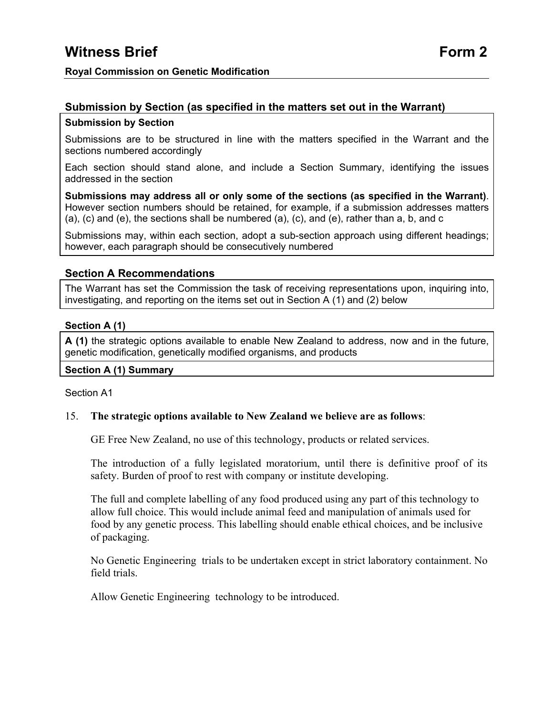### **Submission by Section**

Submissions are to be structured in line with the matters specified in the Warrant and the sections numbered accordingly

Each section should stand alone, and include a Section Summary, identifying the issues addressed in the section

**Submissions may address all or only some of the sections (as specified in the Warrant)**. However section numbers should be retained, for example, if a submission addresses matters (a), (c) and (e), the sections shall be numbered (a), (c), and (e), rather than a, b, and c

Submissions may, within each section, adopt a sub-section approach using different headings; however, each paragraph should be consecutively numbered

### **Section A Recommendations**

The Warrant has set the Commission the task of receiving representations upon, inquiring into, investigating, and reporting on the items set out in Section  $A(1)$  and  $(2)$  below

### **Section A (1)**

**A (1)** the strategic options available to enable New Zealand to address, now and in the future, genetic modification, genetically modified organisms, and products

### **Section A (1) Summary**

### Section A1

### 15. **The strategic options available to New Zealand we believe are as follows**:

GE Free New Zealand, no use of this technology, products or related services.

The introduction of a fully legislated moratorium, until there is definitive proof of its safety. Burden of proof to rest with company or institute developing.

The full and complete labelling of any food produced using any part of this technology to allow full choice. This would include animal feed and manipulation of animals used for food by any genetic process. This labelling should enable ethical choices, and be inclusive of packaging.

No Genetic Engineering trials to be undertaken except in strict laboratory containment. No field trials.

Allow Genetic Engineering technology to be introduced.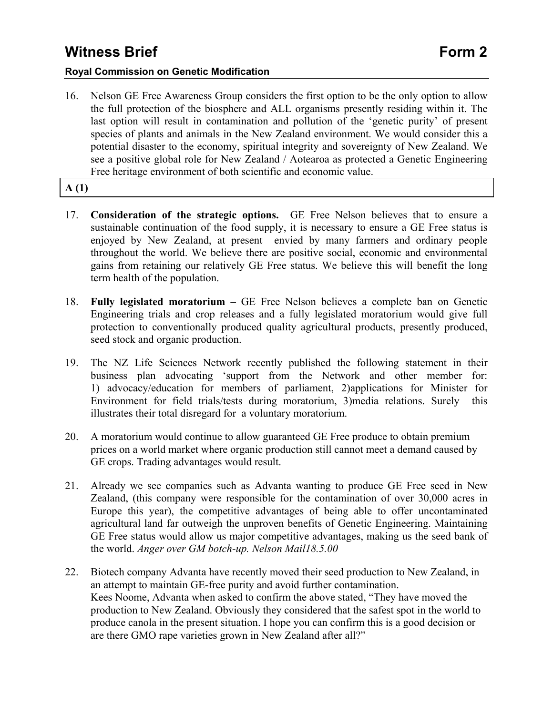### **Royal Commission on Genetic Modification**

16. Nelson GE Free Awareness Group considers the first option to be the only option to allow the full protection of the biosphere and ALL organisms presently residing within it. The last option will result in contamination and pollution of the 'genetic purity' of present species of plants and animals in the New Zealand environment. We would consider this a potential disaster to the economy, spiritual integrity and sovereignty of New Zealand. We see a positive global role for New Zealand / Aotearoa as protected a Genetic Engineering Free heritage environment of both scientific and economic value.

### **A (1)**

- 17. **Consideration of the strategic options.** GE Free Nelson believes that to ensure a sustainable continuation of the food supply, it is necessary to ensure a GE Free status is enjoyed by New Zealand, at present envied by many farmers and ordinary people throughout the world. We believe there are positive social, economic and environmental gains from retaining our relatively GE Free status. We believe this will benefit the long term health of the population.
- 18. **Fully legislated moratorium** GE Free Nelson believes a complete ban on Genetic Engineering trials and crop releases and a fully legislated moratorium would give full protection to conventionally produced quality agricultural products, presently produced, seed stock and organic production.
- 19. The NZ Life Sciences Network recently published the following statement in their business plan advocating 'support from the Network and other member for: 1) advocacy/education for members of parliament, 2)applications for Minister for Environment for field trials/tests during moratorium, 3)media relations. Surely this illustrates their total disregard for a voluntary moratorium.
- 20. A moratorium would continue to allow guaranteed GE Free produce to obtain premium prices on a world market where organic production still cannot meet a demand caused by GE crops. Trading advantages would result.
- 21. Already we see companies such as Advanta wanting to produce GE Free seed in New Zealand, (this company were responsible for the contamination of over 30,000 acres in Europe this year), the competitive advantages of being able to offer uncontaminated agricultural land far outweigh the unproven benefits of Genetic Engineering. Maintaining GE Free status would allow us major competitive advantages, making us the seed bank of the world. *Anger over GM botch-up. Nelson Mail18.5.00*
- 22. Biotech company Advanta have recently moved their seed production to New Zealand, in an attempt to maintain GE-free purity and avoid further contamination. Kees Noome, Advanta when asked to confirm the above stated, "They have moved the production to New Zealand. Obviously they considered that the safest spot in the world to produce canola in the present situation. I hope you can confirm this is a good decision or are there GMO rape varieties grown in New Zealand after all?"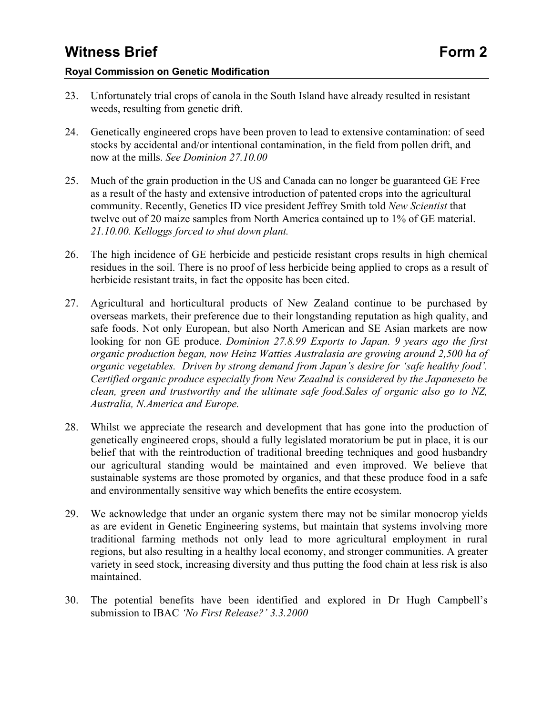### **Royal Commission on Genetic Modification**

- 23. Unfortunately trial crops of canola in the South Island have already resulted in resistant weeds, resulting from genetic drift.
- 24. Genetically engineered crops have been proven to lead to extensive contamination: of seed stocks by accidental and/or intentional contamination, in the field from pollen drift, and now at the mills. *See Dominion 27.10.00*
- 25. Much of the grain production in the US and Canada can no longer be guaranteed GE Free as a result of the hasty and extensive introduction of patented crops into the agricultural community. Recently, Genetics ID vice president Jeffrey Smith told *New Scientist* that twelve out of 20 maize samples from North America contained up to 1% of GE material. *21.10.00. Kelloggs forced to shut down plant.*
- 26. The high incidence of GE herbicide and pesticide resistant crops results in high chemical residues in the soil. There is no proof of less herbicide being applied to crops as a result of herbicide resistant traits, in fact the opposite has been cited.
- 27. Agricultural and horticultural products of New Zealand continue to be purchased by overseas markets, their preference due to their longstanding reputation as high quality, and safe foods. Not only European, but also North American and SE Asian markets are now looking for non GE produce. *Dominion 27.8.99 Exports to Japan. 9 years ago the first organic production began, now Heinz Watties Australasia are growing around 2,500 ha of organic vegetables. Driven by strong demand from Japan's desire for 'safe healthy food'. Certified organic produce especially from New Zeaalnd is considered by the Japaneseto be clean, green and trustworthy and the ultimate safe food.Sales of organic also go to NZ, Australia, N.America and Europe.*
- 28. Whilst we appreciate the research and development that has gone into the production of genetically engineered crops, should a fully legislated moratorium be put in place, it is our belief that with the reintroduction of traditional breeding techniques and good husbandry our agricultural standing would be maintained and even improved. We believe that sustainable systems are those promoted by organics, and that these produce food in a safe and environmentally sensitive way which benefits the entire ecosystem.
- 29. We acknowledge that under an organic system there may not be similar monocrop yields as are evident in Genetic Engineering systems, but maintain that systems involving more traditional farming methods not only lead to more agricultural employment in rural regions, but also resulting in a healthy local economy, and stronger communities. A greater variety in seed stock, increasing diversity and thus putting the food chain at less risk is also maintained.
- 30. The potential benefits have been identified and explored in Dr Hugh Campbell's submission to IBAC *'No First Release?' 3.3.2000*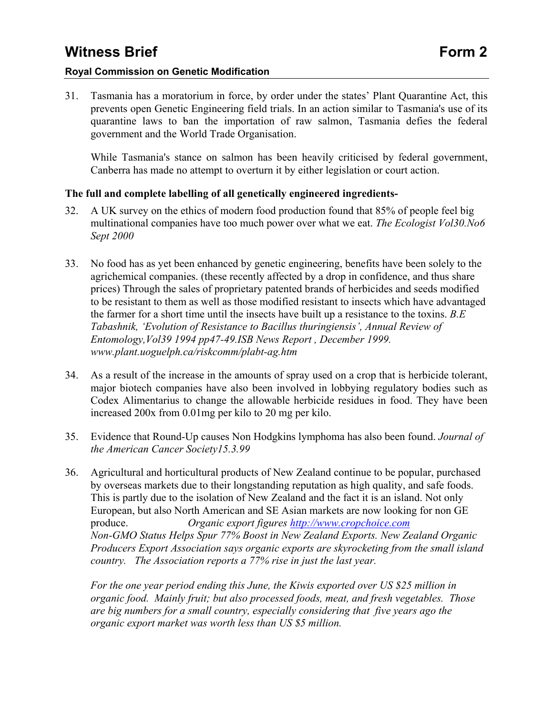### **Royal Commission on Genetic Modification**

31. Tasmania has a moratorium in force, by order under the states' Plant Quarantine Act, this prevents open Genetic Engineering field trials. In an action similar to Tasmania's use of its quarantine laws to ban the importation of raw salmon, Tasmania defies the federal government and the World Trade Organisation.

While Tasmania's stance on salmon has been heavily criticised by federal government, Canberra has made no attempt to overturn it by either legislation or court action.

### **The full and complete labelling of all genetically engineered ingredients-**

- 32. A UK survey on the ethics of modern food production found that 85% of people feel big multinational companies have too much power over what we eat. *The Ecologist Vol30.No6 Sept 2000*
- 33. No food has as yet been enhanced by genetic engineering, benefits have been solely to the agrichemical companies. (these recently affected by a drop in confidence, and thus share prices) Through the sales of proprietary patented brands of herbicides and seeds modified to be resistant to them as well as those modified resistant to insects which have advantaged the farmer for a short time until the insects have built up a resistance to the toxins. *B.E Tabashnik, 'Evolution of Resistance to Bacillus thuringiensis', Annual Review of Entomology,Vol39 1994 pp47-49.ISB News Report , December 1999. www.plant.uoguelph.ca/riskcomm/plabt-ag.htm*
- 34. As a result of the increase in the amounts of spray used on a crop that is herbicide tolerant, major biotech companies have also been involved in lobbying regulatory bodies such as Codex Alimentarius to change the allowable herbicide residues in food. They have been increased 200x from 0.01mg per kilo to 20 mg per kilo.
- 35. Evidence that Round-Up causes Non Hodgkins lymphoma has also been found. *Journal of the American Cancer Society15.3.99*
- 36. Agricultural and horticultural products of New Zealand continue to be popular, purchased by overseas markets due to their longstanding reputation as high quality, and safe foods. This is partly due to the isolation of New Zealand and the fact it is an island. Not only European, but also North American and SE Asian markets are now looking for non GE produce. *Organic export figures http://www.cropchoice.com Non-GMO Status Helps Spur 77% Boost in New Zealand Exports. New Zealand Organic Producers Export Association says organic exports are skyrocketing from the small island country. The Association reports a 77% rise in just the last year.*

*For the one year period ending this June, the Kiwis exported over US \$25 million in organic food. Mainly fruit; but also processed foods, meat, and fresh vegetables. Those are big numbers for a small country, especially considering that five years ago the organic export market was worth less than US \$5 million.*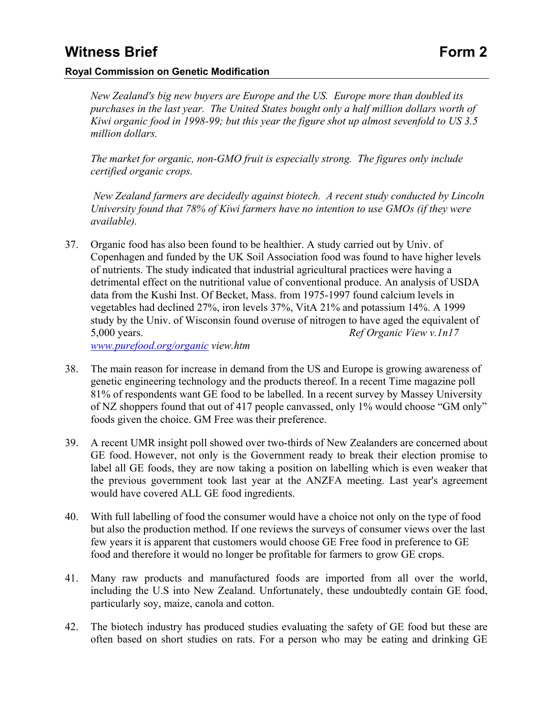### **Royal Commission on Genetic Modification**

*New Zealand's big new buyers are Europe and the US. Europe more than doubled its purchases in the last year. The United States bought only a half million dollars worth of Kiwi organic food in 1998-99; but this year the figure shot up almost sevenfold to US 3.5 million dollars.* 

*The market for organic, non-GMO fruit is especially strong. The figures only include certified organic crops.* 

 *New Zealand farmers are decidedly against biotech. A recent study conducted by Lincoln University found that 78% of Kiwi farmers have no intention to use GMOs (if they were available).* 

37. Organic food has also been found to be healthier. A study carried out by Univ. of Copenhagen and funded by the UK Soil Association food was found to have higher levels of nutrients. The study indicated that industrial agricultural practices were having a detrimental effect on the nutritional value of conventional produce. An analysis of USDA data from the Kushi Inst. Of Becket, Mass. from 1975-1997 found calcium levels in vegetables had declined 27%, iron levels 37%, VitA 21% and potassium 14%. A 1999 study by the Univ. of Wisconsin found overuse of nitrogen to have aged the equivalent of 5,000 years. *Ref Organic View v.1n17* 

*www.purefood.org/organic view.htm* 

- 38. The main reason for increase in demand from the US and Europe is growing awareness of genetic engineering technology and the products thereof. In a recent Time magazine poll 81% of respondents want GE food to be labelled. In a recent survey by Massey University of NZ shoppers found that out of 417 people canvassed, only 1% would choose "GM only" foods given the choice. GM Free was their preference.
- 39. A recent UMR insight poll showed over two-thirds of New Zealanders are concerned about GE food. However, not only is the Government ready to break their election promise to label all GE foods, they are now taking a position on labelling which is even weaker that the previous government took last year at the ANZFA meeting. Last year's agreement would have covered ALL GE food ingredients.
- 40. With full labelling of food the consumer would have a choice not only on the type of food but also the production method. If one reviews the surveys of consumer views over the last few years it is apparent that customers would choose GE Free food in preference to GE food and therefore it would no longer be profitable for farmers to grow GE crops.
- 41. Many raw products and manufactured foods are imported from all over the world, including the U.S into New Zealand. Unfortunately, these undoubtedly contain GE food, particularly soy, maize, canola and cotton.
- 42. The biotech industry has produced studies evaluating the safety of GE food but these are often based on short studies on rats. For a person who may be eating and drinking GE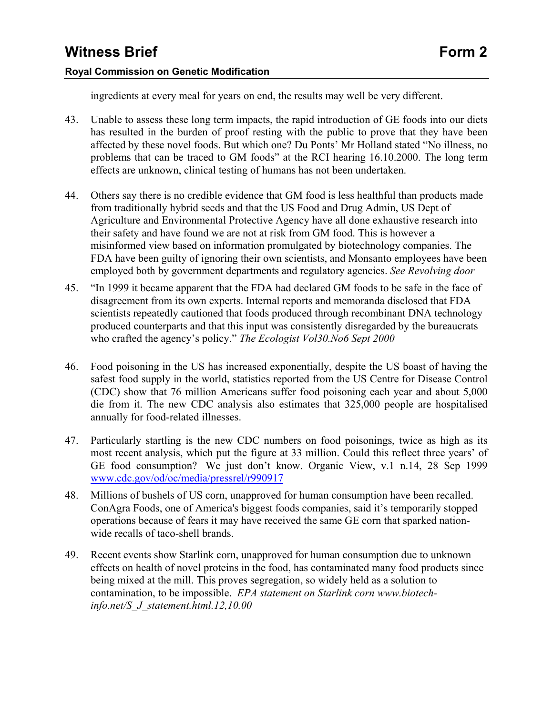### **Royal Commission on Genetic Modification**

ingredients at every meal for years on end, the results may well be very different.

- 43. Unable to assess these long term impacts, the rapid introduction of GE foods into our diets has resulted in the burden of proof resting with the public to prove that they have been affected by these novel foods. But which one? Du Ponts' Mr Holland stated "No illness, no problems that can be traced to GM foods" at the RCI hearing 16.10.2000. The long term effects are unknown, clinical testing of humans has not been undertaken.
- 44. Others say there is no credible evidence that GM food is less healthful than products made from traditionally hybrid seeds and that the US Food and Drug Admin, US Dept of Agriculture and Environmental Protective Agency have all done exhaustive research into their safety and have found we are not at risk from GM food. This is however a misinformed view based on information promulgated by biotechnology companies. The FDA have been guilty of ignoring their own scientists, and Monsanto employees have been employed both by government departments and regulatory agencies. *See Revolving door*
- 45. "In 1999 it became apparent that the FDA had declared GM foods to be safe in the face of disagreement from its own experts. Internal reports and memoranda disclosed that FDA scientists repeatedly cautioned that foods produced through recombinant DNA technology produced counterparts and that this input was consistently disregarded by the bureaucrats who crafted the agency's policy." *The Ecologist Vol30.No6 Sept 2000*
- 46. Food poisoning in the US has increased exponentially, despite the US boast of having the safest food supply in the world, statistics reported from the US Centre for Disease Control (CDC) show that 76 million Americans suffer food poisoning each year and about 5,000 die from it. The new CDC analysis also estimates that 325,000 people are hospitalised annually for food-related illnesses.
- 47. Particularly startling is the new CDC numbers on food poisonings, twice as high as its most recent analysis, which put the figure at 33 million. Could this reflect three years' of GE food consumption? We just don't know. Organic View, v.1 n.14, 28 Sep 1999 www.cdc.gov/od/oc/media/pressrel/r990917
- 48. Millions of bushels of US corn, unapproved for human consumption have been recalled. ConAgra Foods, one of America's biggest foods companies, said it's temporarily stopped operations because of fears it may have received the same GE corn that sparked nationwide recalls of taco-shell brands.
- 49. Recent events show Starlink corn, unapproved for human consumption due to unknown effects on health of novel proteins in the food, has contaminated many food products since being mixed at the mill. This proves segregation, so widely held as a solution to contamination, to be impossible. *EPA statement on Starlink corn www.biotechinfo.net/S\_J\_statement.html.12,10.00*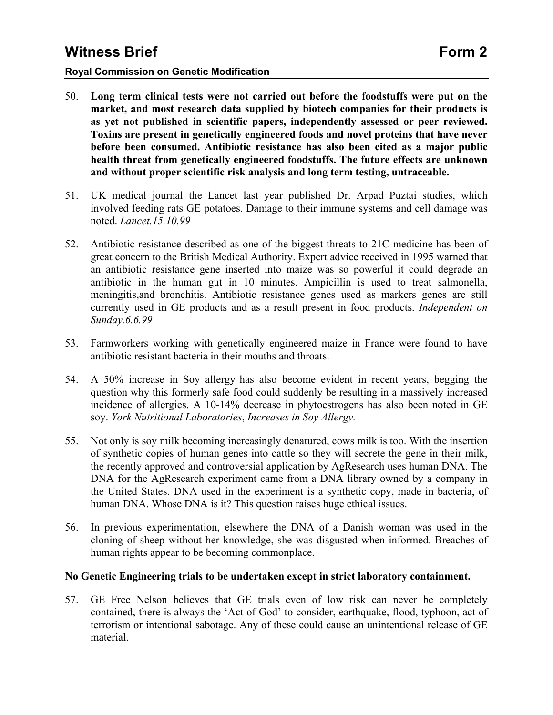### **Royal Commission on Genetic Modification**

- 50. **Long term clinical tests were not carried out before the foodstuffs were put on the market, and most research data supplied by biotech companies for their products is as yet not published in scientific papers, independently assessed or peer reviewed. Toxins are present in genetically engineered foods and novel proteins that have never before been consumed. Antibiotic resistance has also been cited as a major public health threat from genetically engineered foodstuffs. The future effects are unknown and without proper scientific risk analysis and long term testing, untraceable.**
- 51. UK medical journal the Lancet last year published Dr. Arpad Puztai studies, which involved feeding rats GE potatoes. Damage to their immune systems and cell damage was noted. *Lancet.15.10.99*
- 52. Antibiotic resistance described as one of the biggest threats to 21C medicine has been of great concern to the British Medical Authority. Expert advice received in 1995 warned that an antibiotic resistance gene inserted into maize was so powerful it could degrade an antibiotic in the human gut in 10 minutes. Ampicillin is used to treat salmonella, meningitis,and bronchitis. Antibiotic resistance genes used as markers genes are still currently used in GE products and as a result present in food products. *Independent on Sunday.6.6.99*
- 53. Farmworkers working with genetically engineered maize in France were found to have antibiotic resistant bacteria in their mouths and throats.
- 54. A 50% increase in Soy allergy has also become evident in recent years, begging the question why this formerly safe food could suddenly be resulting in a massively increased incidence of allergies. A 10-14% decrease in phytoestrogens has also been noted in GE soy. *York Nutritional Laboratories*, *Increases in Soy Allergy.*
- 55. Not only is soy milk becoming increasingly denatured, cows milk is too. With the insertion of synthetic copies of human genes into cattle so they will secrete the gene in their milk, the recently approved and controversial application by AgResearch uses human DNA. The DNA for the AgResearch experiment came from a DNA library owned by a company in the United States. DNA used in the experiment is a synthetic copy, made in bacteria, of human DNA. Whose DNA is it? This question raises huge ethical issues.
- 56. In previous experimentation, elsewhere the DNA of a Danish woman was used in the cloning of sheep without her knowledge, she was disgusted when informed. Breaches of human rights appear to be becoming commonplace.

### **No Genetic Engineering trials to be undertaken except in strict laboratory containment.**

57. GE Free Nelson believes that GE trials even of low risk can never be completely contained, there is always the 'Act of God' to consider, earthquake, flood, typhoon, act of terrorism or intentional sabotage. Any of these could cause an unintentional release of GE material.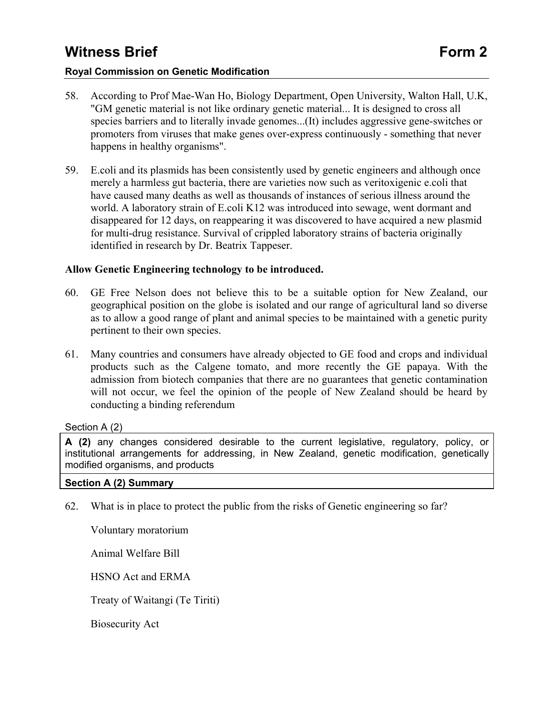#### **Royal Commission on Genetic Modification**

- 58. According to Prof Mae-Wan Ho, Biology Department, Open University, Walton Hall, U.K, "GM genetic material is not like ordinary genetic material... It is designed to cross all species barriers and to literally invade genomes...(It) includes aggressive gene-switches or promoters from viruses that make genes over-express continuously - something that never happens in healthy organisms".
- 59. E.coli and its plasmids has been consistently used by genetic engineers and although once merely a harmless gut bacteria, there are varieties now such as veritoxigenic e.coli that have caused many deaths as well as thousands of instances of serious illness around the world. A laboratory strain of E.coli K12 was introduced into sewage, went dormant and disappeared for 12 days, on reappearing it was discovered to have acquired a new plasmid for multi-drug resistance. Survival of crippled laboratory strains of bacteria originally identified in research by Dr. Beatrix Tappeser.

#### **Allow Genetic Engineering technology to be introduced.**

- 60. GE Free Nelson does not believe this to be a suitable option for New Zealand, our geographical position on the globe is isolated and our range of agricultural land so diverse as to allow a good range of plant and animal species to be maintained with a genetic purity pertinent to their own species.
- 61. Many countries and consumers have already objected to GE food and crops and individual products such as the Calgene tomato, and more recently the GE papaya. With the admission from biotech companies that there are no guarantees that genetic contamination will not occur, we feel the opinion of the people of New Zealand should be heard by conducting a binding referendum

### Section A (2)

**A (2)** any changes considered desirable to the current legislative, regulatory, policy, or institutional arrangements for addressing, in New Zealand, genetic modification, genetically modified organisms, and products

#### **Section A (2) Summary**

62. What is in place to protect the public from the risks of Genetic engineering so far?

Voluntary moratorium

Animal Welfare Bill

HSNO Act and ERMA

Treaty of Waitangi (Te Tiriti)

Biosecurity Act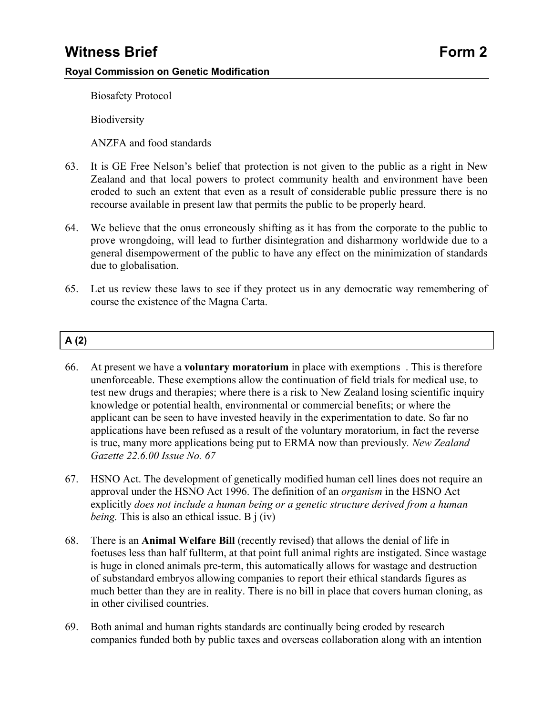Biosafety Protocol

**Biodiversity** 

ANZFA and food standards

- 63. It is GE Free Nelson's belief that protection is not given to the public as a right in New Zealand and that local powers to protect community health and environment have been eroded to such an extent that even as a result of considerable public pressure there is no recourse available in present law that permits the public to be properly heard.
- 64. We believe that the onus erroneously shifting as it has from the corporate to the public to prove wrongdoing, will lead to further disintegration and disharmony worldwide due to a general disempowerment of the public to have any effect on the minimization of standards due to globalisation.
- 65. Let us review these laws to see if they protect us in any democratic way remembering of course the existence of the Magna Carta.

### **A (2)**

- 66. At present we have a **voluntary moratorium** in place with exemptions . This is therefore unenforceable. These exemptions allow the continuation of field trials for medical use, to test new drugs and therapies; where there is a risk to New Zealand losing scientific inquiry knowledge or potential health, environmental or commercial benefits; or where the applicant can be seen to have invested heavily in the experimentation to date. So far no applications have been refused as a result of the voluntary moratorium, in fact the reverse is true, many more applications being put to ERMA now than previously*. New Zealand Gazette 22.6.00 Issue No. 67*
- 67. HSNO Act. The development of genetically modified human cell lines does not require an approval under the HSNO Act 1996. The definition of an *organism* in the HSNO Act explicitly *does not include a human being or a genetic structure derived from a human being.* This is also an ethical issue. B j (iv)
- 68. There is an **Animal Welfare Bill** (recently revised) that allows the denial of life in foetuses less than half fullterm, at that point full animal rights are instigated. Since wastage is huge in cloned animals pre-term, this automatically allows for wastage and destruction of substandard embryos allowing companies to report their ethical standards figures as much better than they are in reality. There is no bill in place that covers human cloning, as in other civilised countries.
- 69. Both animal and human rights standards are continually being eroded by research companies funded both by public taxes and overseas collaboration along with an intention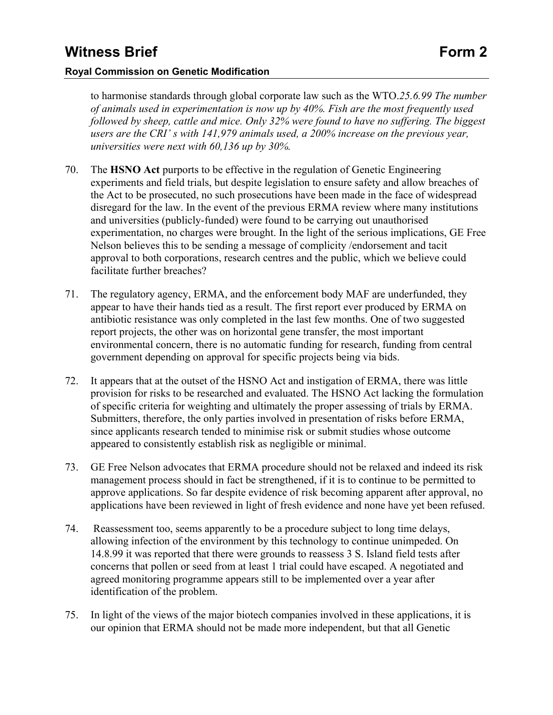### **Royal Commission on Genetic Modification**

to harmonise standards through global corporate law such as the WTO.*25.6.99 The number of animals used in experimentation is now up by 40%. Fish are the most frequently used followed by sheep, cattle and mice. Only 32% were found to have no suffering. The biggest users are the CRI' s with 141,979 animals used, a 200% increase on the previous year, universities were next with 60,136 up by 30%.*

- 70. The **HSNO Act** purports to be effective in the regulation of Genetic Engineering experiments and field trials, but despite legislation to ensure safety and allow breaches of the Act to be prosecuted, no such prosecutions have been made in the face of widespread disregard for the law. In the event of the previous ERMA review where many institutions and universities (publicly-funded) were found to be carrying out unauthorised experimentation, no charges were brought. In the light of the serious implications, GE Free Nelson believes this to be sending a message of complicity /endorsement and tacit approval to both corporations, research centres and the public, which we believe could facilitate further breaches?
- 71. The regulatory agency, ERMA, and the enforcement body MAF are underfunded, they appear to have their hands tied as a result. The first report ever produced by ERMA on antibiotic resistance was only completed in the last few months. One of two suggested report projects, the other was on horizontal gene transfer, the most important environmental concern, there is no automatic funding for research, funding from central government depending on approval for specific projects being via bids.
- 72. It appears that at the outset of the HSNO Act and instigation of ERMA, there was little provision for risks to be researched and evaluated. The HSNO Act lacking the formulation of specific criteria for weighting and ultimately the proper assessing of trials by ERMA. Submitters, therefore, the only parties involved in presentation of risks before ERMA, since applicants research tended to minimise risk or submit studies whose outcome appeared to consistently establish risk as negligible or minimal.
- 73. GE Free Nelson advocates that ERMA procedure should not be relaxed and indeed its risk management process should in fact be strengthened, if it is to continue to be permitted to approve applications. So far despite evidence of risk becoming apparent after approval, no applications have been reviewed in light of fresh evidence and none have yet been refused.
- 74. Reassessment too, seems apparently to be a procedure subject to long time delays, allowing infection of the environment by this technology to continue unimpeded. On 14.8.99 it was reported that there were grounds to reassess 3 S. Island field tests after concerns that pollen or seed from at least 1 trial could have escaped. A negotiated and agreed monitoring programme appears still to be implemented over a year after identification of the problem.
- 75. In light of the views of the major biotech companies involved in these applications, it is our opinion that ERMA should not be made more independent, but that all Genetic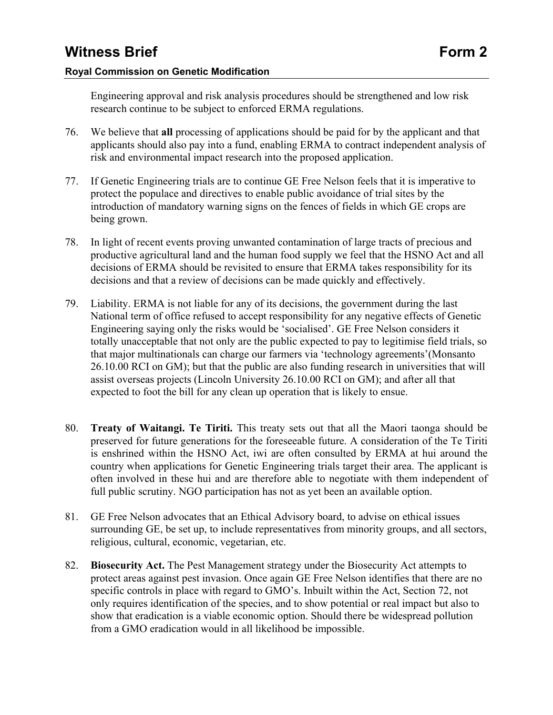### **Royal Commission on Genetic Modification**

Engineering approval and risk analysis procedures should be strengthened and low risk research continue to be subject to enforced ERMA regulations.

- 76. We believe that **all** processing of applications should be paid for by the applicant and that applicants should also pay into a fund, enabling ERMA to contract independent analysis of risk and environmental impact research into the proposed application.
- 77. If Genetic Engineering trials are to continue GE Free Nelson feels that it is imperative to protect the populace and directives to enable public avoidance of trial sites by the introduction of mandatory warning signs on the fences of fields in which GE crops are being grown.
- 78. In light of recent events proving unwanted contamination of large tracts of precious and productive agricultural land and the human food supply we feel that the HSNO Act and all decisions of ERMA should be revisited to ensure that ERMA takes responsibility for its decisions and that a review of decisions can be made quickly and effectively.
- 79. Liability. ERMA is not liable for any of its decisions, the government during the last National term of office refused to accept responsibility for any negative effects of Genetic Engineering saying only the risks would be 'socialised'. GE Free Nelson considers it totally unacceptable that not only are the public expected to pay to legitimise field trials, so that major multinationals can charge our farmers via 'technology agreements'(Monsanto 26.10.00 RCI on GM); but that the public are also funding research in universities that will assist overseas projects (Lincoln University 26.10.00 RCI on GM); and after all that expected to foot the bill for any clean up operation that is likely to ensue.
- 80. **Treaty of Waitangi. Te Tiriti.** This treaty sets out that all the Maori taonga should be preserved for future generations for the foreseeable future. A consideration of the Te Tiriti is enshrined within the HSNO Act, iwi are often consulted by ERMA at hui around the country when applications for Genetic Engineering trials target their area. The applicant is often involved in these hui and are therefore able to negotiate with them independent of full public scrutiny. NGO participation has not as yet been an available option.
- 81. GE Free Nelson advocates that an Ethical Advisory board, to advise on ethical issues surrounding GE, be set up, to include representatives from minority groups, and all sectors, religious, cultural, economic, vegetarian, etc.
- 82. **Biosecurity Act.** The Pest Management strategy under the Biosecurity Act attempts to protect areas against pest invasion. Once again GE Free Nelson identifies that there are no specific controls in place with regard to GMO's. Inbuilt within the Act, Section 72, not only requires identification of the species, and to show potential or real impact but also to show that eradication is a viable economic option. Should there be widespread pollution from a GMO eradication would in all likelihood be impossible.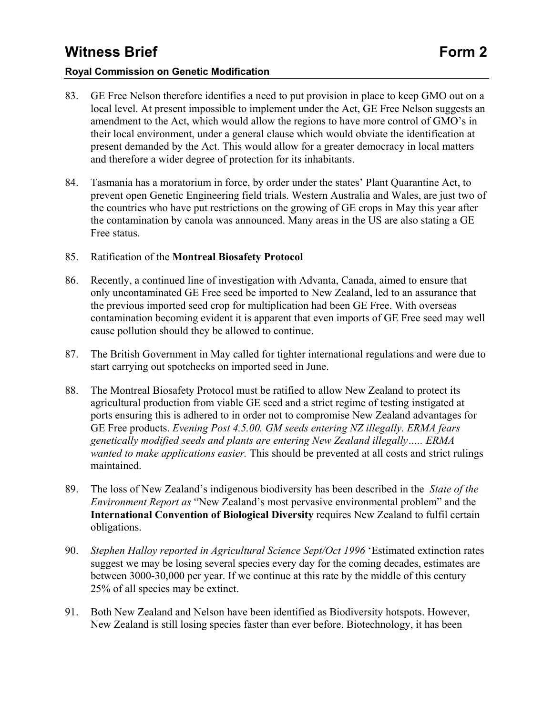### **Royal Commission on Genetic Modification**

- 83. GE Free Nelson therefore identifies a need to put provision in place to keep GMO out on a local level. At present impossible to implement under the Act, GE Free Nelson suggests an amendment to the Act, which would allow the regions to have more control of GMO's in their local environment, under a general clause which would obviate the identification at present demanded by the Act. This would allow for a greater democracy in local matters and therefore a wider degree of protection for its inhabitants.
- 84. Tasmania has a moratorium in force, by order under the states' Plant Quarantine Act, to prevent open Genetic Engineering field trials. Western Australia and Wales, are just two of the countries who have put restrictions on the growing of GE crops in May this year after the contamination by canola was announced. Many areas in the US are also stating a GE Free status.

### 85. Ratification of the **Montreal Biosafety Protocol**

- 86. Recently, a continued line of investigation with Advanta, Canada, aimed to ensure that only uncontaminated GE Free seed be imported to New Zealand, led to an assurance that the previous imported seed crop for multiplication had been GE Free. With overseas contamination becoming evident it is apparent that even imports of GE Free seed may well cause pollution should they be allowed to continue.
- 87. The British Government in May called for tighter international regulations and were due to start carrying out spotchecks on imported seed in June.
- 88. The Montreal Biosafety Protocol must be ratified to allow New Zealand to protect its agricultural production from viable GE seed and a strict regime of testing instigated at ports ensuring this is adhered to in order not to compromise New Zealand advantages for GE Free products. *Evening Post 4.5.00. GM seeds entering NZ illegally. ERMA fears genetically modified seeds and plants are entering New Zealand illegally….. ERMA wanted to make applications easier.* This should be prevented at all costs and strict rulings maintained.
- 89. The loss of New Zealand's indigenous biodiversity has been described in the *State of the Environment Report as* "New Zealand's most pervasive environmental problem" and the **International Convention of Biological Diversity** requires New Zealand to fulfil certain obligations.
- 90. *Stephen Halloy reported in Agricultural Science Sept/Oct 1996* 'Estimated extinction rates suggest we may be losing several species every day for the coming decades, estimates are between 3000-30,000 per year. If we continue at this rate by the middle of this century 25% of all species may be extinct.
- 91. Both New Zealand and Nelson have been identified as Biodiversity hotspots. However, New Zealand is still losing species faster than ever before. Biotechnology, it has been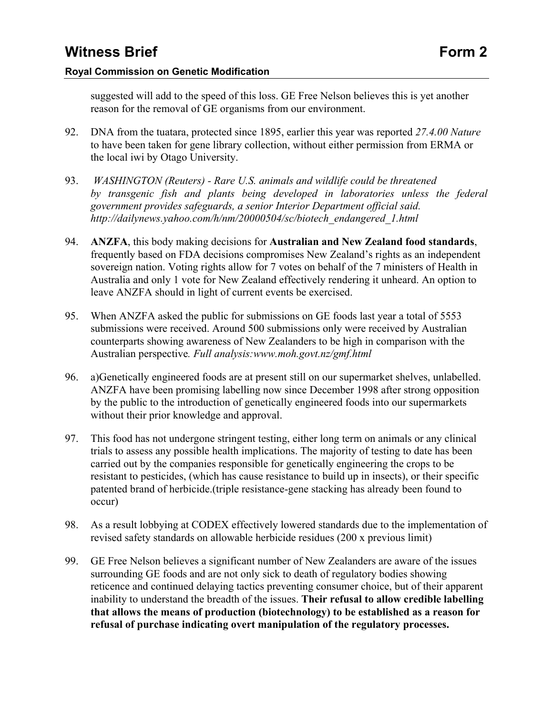### **Royal Commission on Genetic Modification**

suggested will add to the speed of this loss. GE Free Nelson believes this is yet another reason for the removal of GE organisms from our environment.

- 92. DNA from the tuatara, protected since 1895, earlier this year was reported *27.4.00 Nature* to have been taken for gene library collection, without either permission from ERMA or the local iwi by Otago University.
- 93. *WASHINGTON (Reuters) Rare U.S. animals and wildlife could be threatened by transgenic fish and plants being developed in laboratories unless the federal government provides safeguards, a senior Interior Department official said. http://dailynews.yahoo.com/h/nm/20000504/sc/biotech\_endangered\_1.html*
- 94. **ANZFA**, this body making decisions for **Australian and New Zealand food standards**, frequently based on FDA decisions compromises New Zealand's rights as an independent sovereign nation. Voting rights allow for 7 votes on behalf of the 7 ministers of Health in Australia and only 1 vote for New Zealand effectively rendering it unheard. An option to leave ANZFA should in light of current events be exercised.
- 95. When ANZFA asked the public for submissions on GE foods last year a total of 5553 submissions were received. Around 500 submissions only were received by Australian counterparts showing awareness of New Zealanders to be high in comparison with the Australian perspective*. Full analysis:www.moh.govt.nz/gmf.html*
- 96. a)Genetically engineered foods are at present still on our supermarket shelves, unlabelled. ANZFA have been promising labelling now since December 1998 after strong opposition by the public to the introduction of genetically engineered foods into our supermarkets without their prior knowledge and approval.
- 97. This food has not undergone stringent testing, either long term on animals or any clinical trials to assess any possible health implications. The majority of testing to date has been carried out by the companies responsible for genetically engineering the crops to be resistant to pesticides, (which has cause resistance to build up in insects), or their specific patented brand of herbicide.(triple resistance-gene stacking has already been found to occur)
- 98. As a result lobbying at CODEX effectively lowered standards due to the implementation of revised safety standards on allowable herbicide residues (200 x previous limit)
- 99. GE Free Nelson believes a significant number of New Zealanders are aware of the issues surrounding GE foods and are not only sick to death of regulatory bodies showing reticence and continued delaying tactics preventing consumer choice, but of their apparent inability to understand the breadth of the issues. **Their refusal to allow credible labelling that allows the means of production (biotechnology) to be established as a reason for refusal of purchase indicating overt manipulation of the regulatory processes.**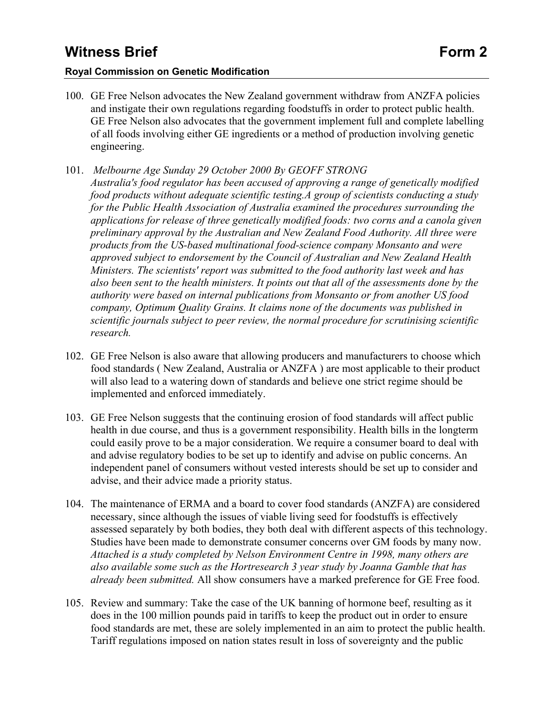### **Royal Commission on Genetic Modification**

- 100. GE Free Nelson advocates the New Zealand government withdraw from ANZFA policies and instigate their own regulations regarding foodstuffs in order to protect public health. GE Free Nelson also advocates that the government implement full and complete labelling of all foods involving either GE ingredients or a method of production involving genetic engineering.
- 101. *Melbourne Age Sunday 29 October 2000 By GEOFF STRONG Australia's food regulator has been accused of approving a range of genetically modified food products without adequate scientific testing.A group of scientists conducting a study for the Public Health Association of Australia examined the procedures surrounding the applications for release of three genetically modified foods: two corns and a canola given preliminary approval by the Australian and New Zealand Food Authority. All three were products from the US-based multinational food-science company Monsanto and were approved subject to endorsement by the Council of Australian and New Zealand Health Ministers. The scientists' report was submitted to the food authority last week and has also been sent to the health ministers. It points out that all of the assessments done by the authority were based on internal publications from Monsanto or from another US food company, Optimum Quality Grains. It claims none of the documents was published in scientific journals subject to peer review, the normal procedure for scrutinising scientific research.*
- 102. GE Free Nelson is also aware that allowing producers and manufacturers to choose which food standards ( New Zealand, Australia or ANZFA ) are most applicable to their product will also lead to a watering down of standards and believe one strict regime should be implemented and enforced immediately.
- 103. GE Free Nelson suggests that the continuing erosion of food standards will affect public health in due course, and thus is a government responsibility. Health bills in the longterm could easily prove to be a major consideration. We require a consumer board to deal with and advise regulatory bodies to be set up to identify and advise on public concerns. An independent panel of consumers without vested interests should be set up to consider and advise, and their advice made a priority status.
- 104. The maintenance of ERMA and a board to cover food standards (ANZFA) are considered necessary, since although the issues of viable living seed for foodstuffs is effectively assessed separately by both bodies, they both deal with different aspects of this technology. Studies have been made to demonstrate consumer concerns over GM foods by many now. *Attached is a study completed by Nelson Environment Centre in 1998, many others are also available some such as the Hortresearch 3 year study by Joanna Gamble that has already been submitted.* All show consumers have a marked preference for GE Free food.
- 105. Review and summary: Take the case of the UK banning of hormone beef, resulting as it does in the 100 million pounds paid in tariffs to keep the product out in order to ensure food standards are met, these are solely implemented in an aim to protect the public health. Tariff regulations imposed on nation states result in loss of sovereignty and the public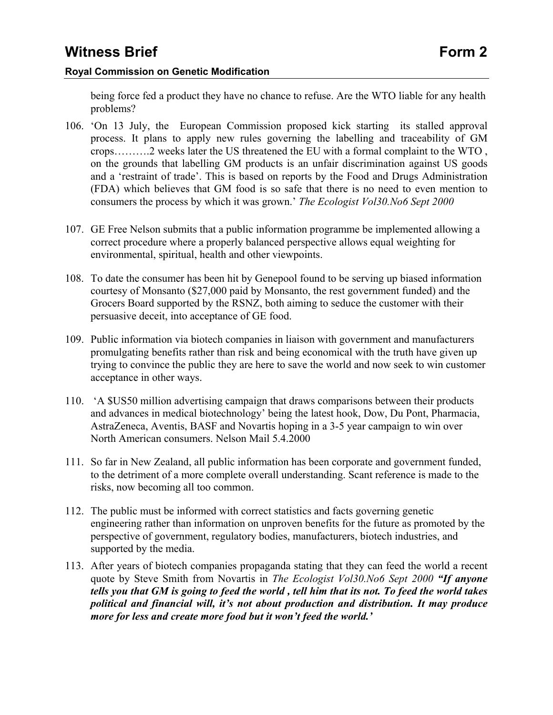being force fed a product they have no chance to refuse. Are the WTO liable for any health problems?

- 106. 'On 13 July, the European Commission proposed kick starting its stalled approval process. It plans to apply new rules governing the labelling and traceability of GM crops……….2 weeks later the US threatened the EU with a formal complaint to the WTO , on the grounds that labelling GM products is an unfair discrimination against US goods and a 'restraint of trade'. This is based on reports by the Food and Drugs Administration (FDA) which believes that GM food is so safe that there is no need to even mention to consumers the process by which it was grown.' *The Ecologist Vol30.No6 Sept 2000*
- 107. GE Free Nelson submits that a public information programme be implemented allowing a correct procedure where a properly balanced perspective allows equal weighting for environmental, spiritual, health and other viewpoints.
- 108. To date the consumer has been hit by Genepool found to be serving up biased information courtesy of Monsanto (\$27,000 paid by Monsanto, the rest government funded) and the Grocers Board supported by the RSNZ, both aiming to seduce the customer with their persuasive deceit, into acceptance of GE food.
- 109. Public information via biotech companies in liaison with government and manufacturers promulgating benefits rather than risk and being economical with the truth have given up trying to convince the public they are here to save the world and now seek to win customer acceptance in other ways.
- 110. 'A \$US50 million advertising campaign that draws comparisons between their products and advances in medical biotechnology' being the latest hook, Dow, Du Pont, Pharmacia, AstraZeneca, Aventis, BASF and Novartis hoping in a 3-5 year campaign to win over North American consumers. Nelson Mail 5.4.2000
- 111. So far in New Zealand, all public information has been corporate and government funded, to the detriment of a more complete overall understanding. Scant reference is made to the risks, now becoming all too common.
- 112. The public must be informed with correct statistics and facts governing genetic engineering rather than information on unproven benefits for the future as promoted by the perspective of government, regulatory bodies, manufacturers, biotech industries, and supported by the media.
- 113. After years of biotech companies propaganda stating that they can feed the world a recent quote by Steve Smith from Novartis in *The Ecologist Vol30.No6 Sept 2000 "If anyone tells you that GM is going to feed the world , tell him that its not. To feed the world takes political and financial will, it's not about production and distribution. It may produce more for less and create more food but it won't feed the world.'*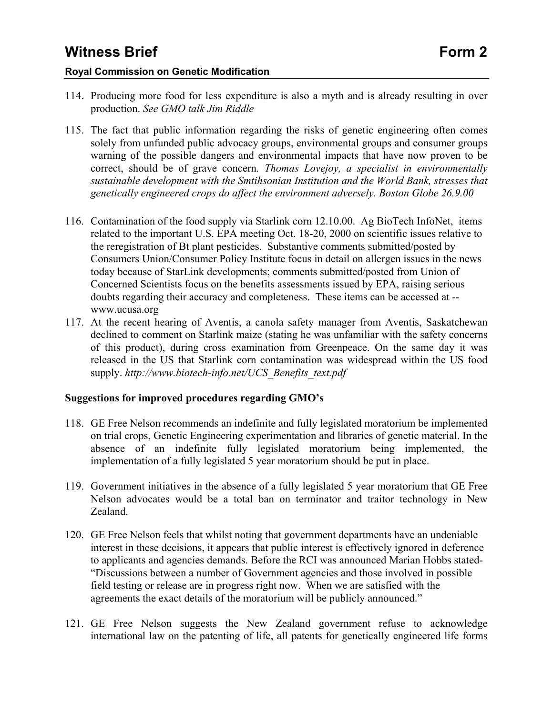### **Royal Commission on Genetic Modification**

- 114. Producing more food for less expenditure is also a myth and is already resulting in over production. *See GMO talk Jim Riddle*
- 115. The fact that public information regarding the risks of genetic engineering often comes solely from unfunded public advocacy groups, environmental groups and consumer groups warning of the possible dangers and environmental impacts that have now proven to be correct, should be of grave concern*. Thomas Lovejoy, a specialist in environmentally sustainable development with the Smtihsonian Institution and the World Bank, stresses that genetically engineered crops do affect the environment adversely. Boston Globe 26.9.00*
- 116. Contamination of the food supply via Starlink corn 12.10.00. Ag BioTech InfoNet, items related to the important U.S. EPA meeting Oct. 18-20, 2000 on scientific issues relative to the reregistration of Bt plant pesticides. Substantive comments submitted/posted by Consumers Union/Consumer Policy Institute focus in detail on allergen issues in the news today because of StarLink developments; comments submitted/posted from Union of Concerned Scientists focus on the benefits assessments issued by EPA, raising serious doubts regarding their accuracy and completeness. These items can be accessed at - www.ucusa.org
- 117. At the recent hearing of Aventis, a canola safety manager from Aventis, Saskatchewan declined to comment on Starlink maize (stating he was unfamiliar with the safety concerns of this product), during cross examination from Greenpeace. On the same day it was released in the US that Starlink corn contamination was widespread within the US food supply. *http://www.biotech-info.net/UCS\_Benefits\_text.pdf*

### **Suggestions for improved procedures regarding GMO's**

- 118. GE Free Nelson recommends an indefinite and fully legislated moratorium be implemented on trial crops, Genetic Engineering experimentation and libraries of genetic material. In the absence of an indefinite fully legislated moratorium being implemented, the implementation of a fully legislated 5 year moratorium should be put in place.
- 119. Government initiatives in the absence of a fully legislated 5 year moratorium that GE Free Nelson advocates would be a total ban on terminator and traitor technology in New Zealand.
- 120. GE Free Nelson feels that whilst noting that government departments have an undeniable interest in these decisions, it appears that public interest is effectively ignored in deference to applicants and agencies demands. Before the RCI was announced Marian Hobbs stated- "Discussions between a number of Government agencies and those involved in possible field testing or release are in progress right now. When we are satisfied with the agreements the exact details of the moratorium will be publicly announced."
- 121. GE Free Nelson suggests the New Zealand government refuse to acknowledge international law on the patenting of life, all patents for genetically engineered life forms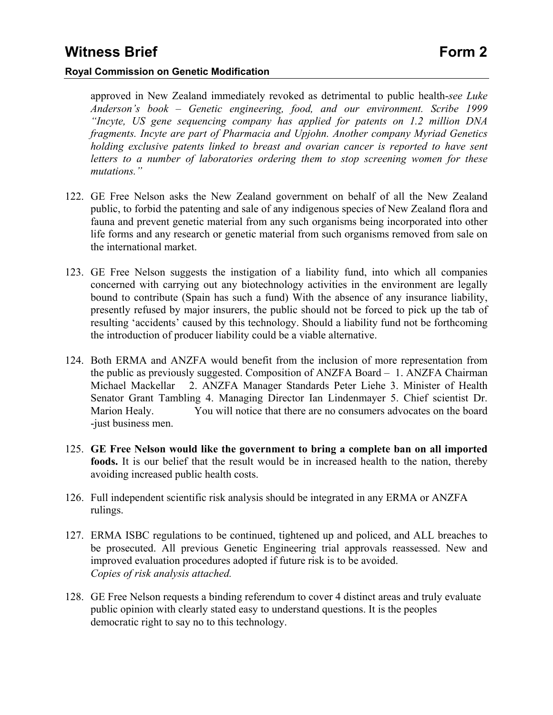approved in New Zealand immediately revoked as detrimental to public health-*see Luke Anderson's book – Genetic engineering, food, and our environment. Scribe 1999 "Incyte, US gene sequencing company has applied for patents on 1.2 million DNA fragments. Incyte are part of Pharmacia and Upjohn. Another company Myriad Genetics holding exclusive patents linked to breast and ovarian cancer is reported to have sent letters to a number of laboratories ordering them to stop screening women for these mutations."* 

- 122. GE Free Nelson asks the New Zealand government on behalf of all the New Zealand public, to forbid the patenting and sale of any indigenous species of New Zealand flora and fauna and prevent genetic material from any such organisms being incorporated into other life forms and any research or genetic material from such organisms removed from sale on the international market.
- 123. GE Free Nelson suggests the instigation of a liability fund, into which all companies concerned with carrying out any biotechnology activities in the environment are legally bound to contribute (Spain has such a fund) With the absence of any insurance liability, presently refused by major insurers, the public should not be forced to pick up the tab of resulting 'accidents' caused by this technology. Should a liability fund not be forthcoming the introduction of producer liability could be a viable alternative.
- 124. Both ERMA and ANZFA would benefit from the inclusion of more representation from the public as previously suggested. Composition of ANZFA Board – 1. ANZFA Chairman Michael Mackellar 2. ANZFA Manager Standards Peter Liehe 3. Minister of Health Senator Grant Tambling 4. Managing Director Ian Lindenmayer 5. Chief scientist Dr. Marion Healy. You will notice that there are no consumers advocates on the board -just business men.
- 125. **GE Free Nelson would like the government to bring a complete ban on all imported foods.** It is our belief that the result would be in increased health to the nation, thereby avoiding increased public health costs.
- 126. Full independent scientific risk analysis should be integrated in any ERMA or ANZFA rulings.
- 127. ERMA ISBC regulations to be continued, tightened up and policed, and ALL breaches to be prosecuted. All previous Genetic Engineering trial approvals reassessed. New and improved evaluation procedures adopted if future risk is to be avoided. *Copies of risk analysis attached.*
- 128. GE Free Nelson requests a binding referendum to cover 4 distinct areas and truly evaluate public opinion with clearly stated easy to understand questions. It is the peoples democratic right to say no to this technology.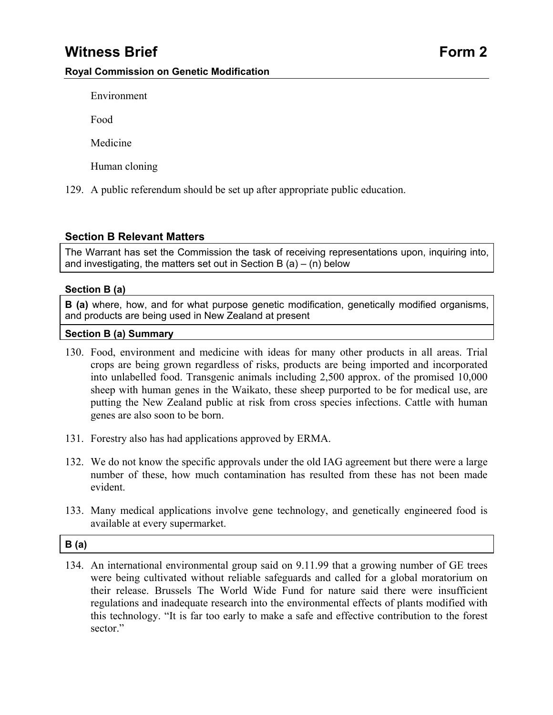Environment

Food

Medicine

Human cloning

129. A public referendum should be set up after appropriate public education.

### **Section B Relevant Matters**

The Warrant has set the Commission the task of receiving representations upon, inquiring into, and investigating, the matters set out in Section B  $(a) - (n)$  below

### **Section B (a)**

**B** (a) where, how, and for what purpose genetic modification, genetically modified organisms, and products are being used in New Zealand at present

#### **Section B (a) Summary**

- 130. Food, environment and medicine with ideas for many other products in all areas. Trial crops are being grown regardless of risks, products are being imported and incorporated into unlabelled food. Transgenic animals including 2,500 approx. of the promised 10,000 sheep with human genes in the Waikato, these sheep purported to be for medical use, are putting the New Zealand public at risk from cross species infections. Cattle with human genes are also soon to be born.
- 131. Forestry also has had applications approved by ERMA.
- 132. We do not know the specific approvals under the old IAG agreement but there were a large number of these, how much contamination has resulted from these has not been made evident.
- 133. Many medical applications involve gene technology, and genetically engineered food is available at every supermarket.

### **B (a)**

134. An international environmental group said on 9.11.99 that a growing number of GE trees were being cultivated without reliable safeguards and called for a global moratorium on their release. Brussels The World Wide Fund for nature said there were insufficient regulations and inadequate research into the environmental effects of plants modified with this technology. "It is far too early to make a safe and effective contribution to the forest sector."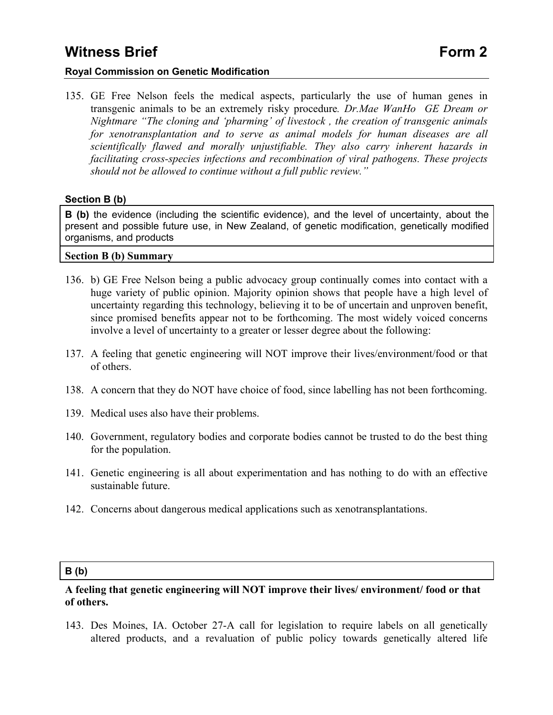### **Royal Commission on Genetic Modification**

135. GE Free Nelson feels the medical aspects, particularly the use of human genes in transgenic animals to be an extremely risky procedure*. Dr.Mae WanHo GE Dream or Nightmare "The cloning and 'pharming' of livestock , the creation of transgenic animals for xenotransplantation and to serve as animal models for human diseases are all scientifically flawed and morally unjustifiable. They also carry inherent hazards in facilitating cross-species infections and recombination of viral pathogens. These projects should not be allowed to continue without a full public review."* 

#### **Section B (b)**

**B (b)** the evidence (including the scientific evidence), and the level of uncertainty, about the present and possible future use, in New Zealand, of genetic modification, genetically modified organisms, and products

**Section B (b) Summary** 

- 136. b) GE Free Nelson being a public advocacy group continually comes into contact with a huge variety of public opinion. Majority opinion shows that people have a high level of uncertainty regarding this technology, believing it to be of uncertain and unproven benefit, since promised benefits appear not to be forthcoming. The most widely voiced concerns involve a level of uncertainty to a greater or lesser degree about the following:
- 137. A feeling that genetic engineering will NOT improve their lives/environment/food or that of others.
- 138. A concern that they do NOT have choice of food, since labelling has not been forthcoming.
- 139. Medical uses also have their problems.
- 140. Government, regulatory bodies and corporate bodies cannot be trusted to do the best thing for the population.
- 141. Genetic engineering is all about experimentation and has nothing to do with an effective sustainable future.
- 142. Concerns about dangerous medical applications such as xenotransplantations.

#### **B (b)**

### **A feeling that genetic engineering will NOT improve their lives/ environment/ food or that of others.**

143. Des Moines, IA. October 27-A call for legislation to require labels on all genetically altered products, and a revaluation of public policy towards genetically altered life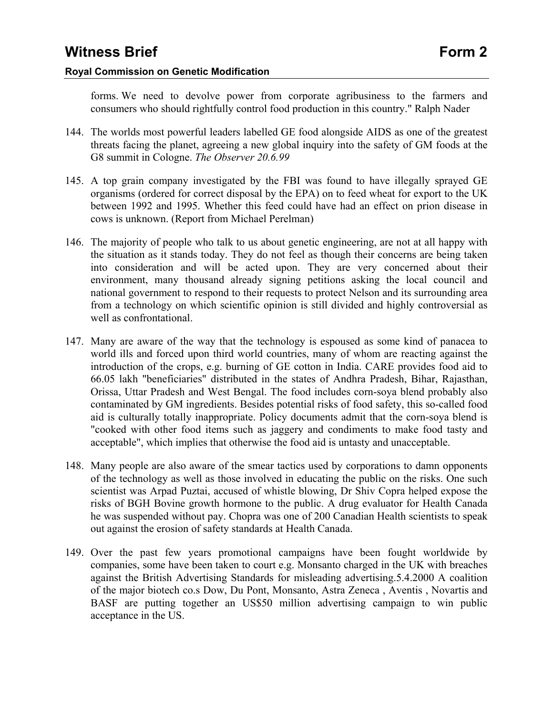forms. We need to devolve power from corporate agribusiness to the farmers and consumers who should rightfully control food production in this country." Ralph Nader

- 144. The worlds most powerful leaders labelled GE food alongside AIDS as one of the greatest threats facing the planet, agreeing a new global inquiry into the safety of GM foods at the G8 summit in Cologne. *The Observer 20.6.99*
- 145. A top grain company investigated by the FBI was found to have illegally sprayed GE organisms (ordered for correct disposal by the EPA) on to feed wheat for export to the UK between 1992 and 1995. Whether this feed could have had an effect on prion disease in cows is unknown. (Report from Michael Perelman)
- 146. The majority of people who talk to us about genetic engineering, are not at all happy with the situation as it stands today. They do not feel as though their concerns are being taken into consideration and will be acted upon. They are very concerned about their environment, many thousand already signing petitions asking the local council and national government to respond to their requests to protect Nelson and its surrounding area from a technology on which scientific opinion is still divided and highly controversial as well as confrontational.
- 147. Many are aware of the way that the technology is espoused as some kind of panacea to world ills and forced upon third world countries, many of whom are reacting against the introduction of the crops, e.g. burning of GE cotton in India. CARE provides food aid to 66.05 lakh "beneficiaries" distributed in the states of Andhra Pradesh, Bihar, Rajasthan, Orissa, Uttar Pradesh and West Bengal. The food includes corn-soya blend probably also contaminated by GM ingredients. Besides potential risks of food safety, this so-called food aid is culturally totally inappropriate. Policy documents admit that the corn-soya blend is "cooked with other food items such as jaggery and condiments to make food tasty and acceptable", which implies that otherwise the food aid is untasty and unacceptable.
- 148. Many people are also aware of the smear tactics used by corporations to damn opponents of the technology as well as those involved in educating the public on the risks. One such scientist was Arpad Puztai, accused of whistle blowing, Dr Shiv Copra helped expose the risks of BGH Bovine growth hormone to the public. A drug evaluator for Health Canada he was suspended without pay. Chopra was one of 200 Canadian Health scientists to speak out against the erosion of safety standards at Health Canada.
- 149. Over the past few years promotional campaigns have been fought worldwide by companies, some have been taken to court e.g. Monsanto charged in the UK with breaches against the British Advertising Standards for misleading advertising.5.4.2000 A coalition of the major biotech co.s Dow, Du Pont, Monsanto, Astra Zeneca , Aventis , Novartis and BASF are putting together an US\$50 million advertising campaign to win public acceptance in the US.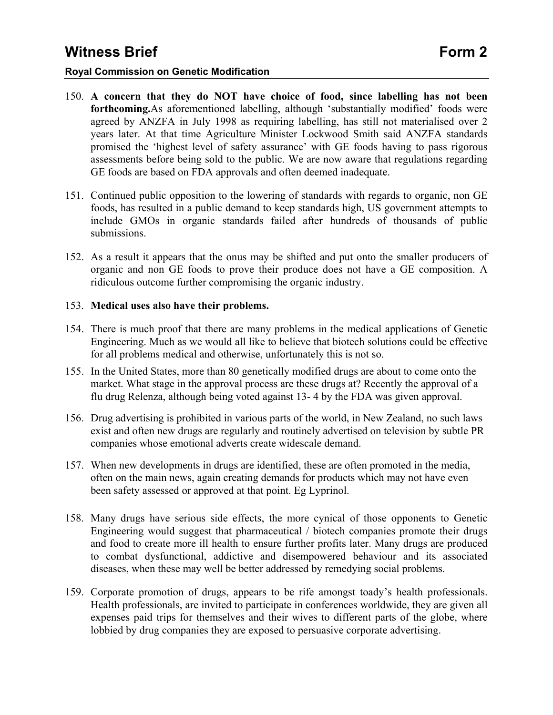### **Royal Commission on Genetic Modification**

- 150. **A concern that they do NOT have choice of food, since labelling has not been forthcoming.**As aforementioned labelling, although 'substantially modified' foods were agreed by ANZFA in July 1998 as requiring labelling, has still not materialised over 2 years later. At that time Agriculture Minister Lockwood Smith said ANZFA standards promised the 'highest level of safety assurance' with GE foods having to pass rigorous assessments before being sold to the public. We are now aware that regulations regarding GE foods are based on FDA approvals and often deemed inadequate.
- 151. Continued public opposition to the lowering of standards with regards to organic, non GE foods, has resulted in a public demand to keep standards high, US government attempts to include GMOs in organic standards failed after hundreds of thousands of public submissions.
- 152. As a result it appears that the onus may be shifted and put onto the smaller producers of organic and non GE foods to prove their produce does not have a GE composition. A ridiculous outcome further compromising the organic industry.

#### 153. **Medical uses also have their problems.**

- 154. There is much proof that there are many problems in the medical applications of Genetic Engineering. Much as we would all like to believe that biotech solutions could be effective for all problems medical and otherwise, unfortunately this is not so.
- 155. In the United States, more than 80 genetically modified drugs are about to come onto the market. What stage in the approval process are these drugs at? Recently the approval of a flu drug Relenza, although being voted against 13- 4 by the FDA was given approval.
- 156. Drug advertising is prohibited in various parts of the world, in New Zealand, no such laws exist and often new drugs are regularly and routinely advertised on television by subtle PR companies whose emotional adverts create widescale demand.
- 157. When new developments in drugs are identified, these are often promoted in the media, often on the main news, again creating demands for products which may not have even been safety assessed or approved at that point. Eg Lyprinol.
- 158. Many drugs have serious side effects, the more cynical of those opponents to Genetic Engineering would suggest that pharmaceutical / biotech companies promote their drugs and food to create more ill health to ensure further profits later. Many drugs are produced to combat dysfunctional, addictive and disempowered behaviour and its associated diseases, when these may well be better addressed by remedying social problems.
- 159. Corporate promotion of drugs, appears to be rife amongst toady's health professionals. Health professionals, are invited to participate in conferences worldwide, they are given all expenses paid trips for themselves and their wives to different parts of the globe, where lobbied by drug companies they are exposed to persuasive corporate advertising.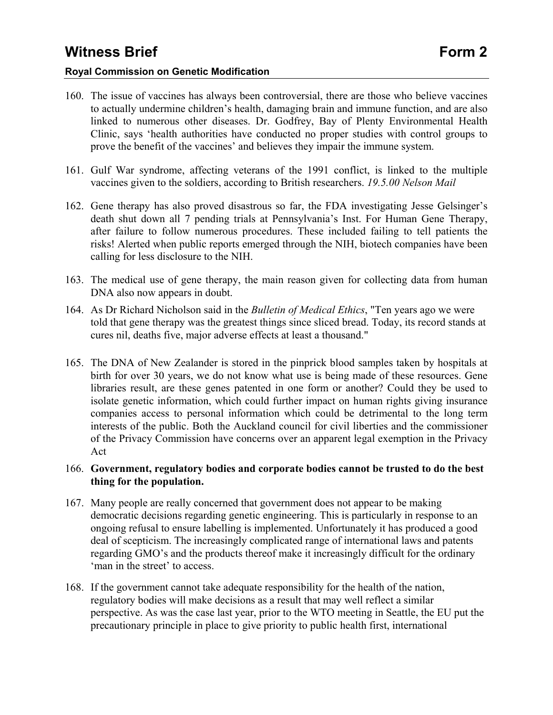### **Royal Commission on Genetic Modification**

- 160. The issue of vaccines has always been controversial, there are those who believe vaccines to actually undermine children's health, damaging brain and immune function, and are also linked to numerous other diseases. Dr. Godfrey, Bay of Plenty Environmental Health Clinic, says 'health authorities have conducted no proper studies with control groups to prove the benefit of the vaccines' and believes they impair the immune system.
- 161. Gulf War syndrome, affecting veterans of the 1991 conflict, is linked to the multiple vaccines given to the soldiers, according to British researchers. *19.5.00 Nelson Mail*
- 162. Gene therapy has also proved disastrous so far, the FDA investigating Jesse Gelsinger's death shut down all 7 pending trials at Pennsylvania's Inst. For Human Gene Therapy, after failure to follow numerous procedures. These included failing to tell patients the risks! Alerted when public reports emerged through the NIH, biotech companies have been calling for less disclosure to the NIH.
- 163. The medical use of gene therapy, the main reason given for collecting data from human DNA also now appears in doubt.
- 164. As Dr Richard Nicholson said in the *Bulletin of Medical Ethics*, "Ten years ago we were told that gene therapy was the greatest things since sliced bread. Today, its record stands at cures nil, deaths five, major adverse effects at least a thousand."
- 165. The DNA of New Zealander is stored in the pinprick blood samples taken by hospitals at birth for over 30 years, we do not know what use is being made of these resources. Gene libraries result, are these genes patented in one form or another? Could they be used to isolate genetic information, which could further impact on human rights giving insurance companies access to personal information which could be detrimental to the long term interests of the public. Both the Auckland council for civil liberties and the commissioner of the Privacy Commission have concerns over an apparent legal exemption in the Privacy Act
- 166. **Government, regulatory bodies and corporate bodies cannot be trusted to do the best thing for the population.**
- 167. Many people are really concerned that government does not appear to be making democratic decisions regarding genetic engineering. This is particularly in response to an ongoing refusal to ensure labelling is implemented. Unfortunately it has produced a good deal of scepticism. The increasingly complicated range of international laws and patents regarding GMO's and the products thereof make it increasingly difficult for the ordinary 'man in the street' to access.
- 168. If the government cannot take adequate responsibility for the health of the nation, regulatory bodies will make decisions as a result that may well reflect a similar perspective. As was the case last year, prior to the WTO meeting in Seattle, the EU put the precautionary principle in place to give priority to public health first, international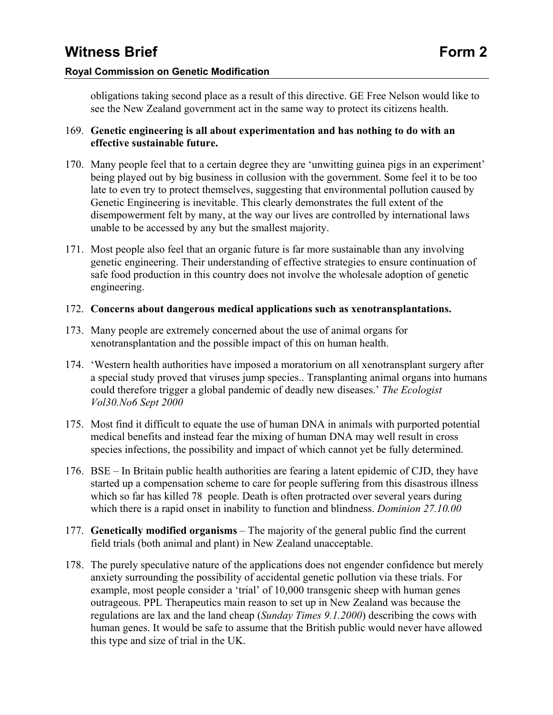### **Royal Commission on Genetic Modification**

obligations taking second place as a result of this directive. GE Free Nelson would like to see the New Zealand government act in the same way to protect its citizens health.

### 169. **Genetic engineering is all about experimentation and has nothing to do with an effective sustainable future.**

- 170. Many people feel that to a certain degree they are 'unwitting guinea pigs in an experiment' being played out by big business in collusion with the government. Some feel it to be too late to even try to protect themselves, suggesting that environmental pollution caused by Genetic Engineering is inevitable. This clearly demonstrates the full extent of the disempowerment felt by many, at the way our lives are controlled by international laws unable to be accessed by any but the smallest majority.
- 171. Most people also feel that an organic future is far more sustainable than any involving genetic engineering. Their understanding of effective strategies to ensure continuation of safe food production in this country does not involve the wholesale adoption of genetic engineering.

### 172. **Concerns about dangerous medical applications such as xenotransplantations.**

- 173. Many people are extremely concerned about the use of animal organs for xenotransplantation and the possible impact of this on human health.
- 174. 'Western health authorities have imposed a moratorium on all xenotransplant surgery after a special study proved that viruses jump species.. Transplanting animal organs into humans could therefore trigger a global pandemic of deadly new diseases.' *The Ecologist Vol30.No6 Sept 2000*
- 175. Most find it difficult to equate the use of human DNA in animals with purported potential medical benefits and instead fear the mixing of human DNA may well result in cross species infections, the possibility and impact of which cannot yet be fully determined.
- 176. BSE In Britain public health authorities are fearing a latent epidemic of CJD, they have started up a compensation scheme to care for people suffering from this disastrous illness which so far has killed 78 people. Death is often protracted over several years during which there is a rapid onset in inability to function and blindness. *Dominion 27.10.00*
- 177. **Genetically modified organisms**  The majority of the general public find the current field trials (both animal and plant) in New Zealand unacceptable.
- 178. The purely speculative nature of the applications does not engender confidence but merely anxiety surrounding the possibility of accidental genetic pollution via these trials. For example, most people consider a 'trial' of 10,000 transgenic sheep with human genes outrageous. PPL Therapeutics main reason to set up in New Zealand was because the regulations are lax and the land cheap (*Sunday Times 9.1.2000*) describing the cows with human genes. It would be safe to assume that the British public would never have allowed this type and size of trial in the UK.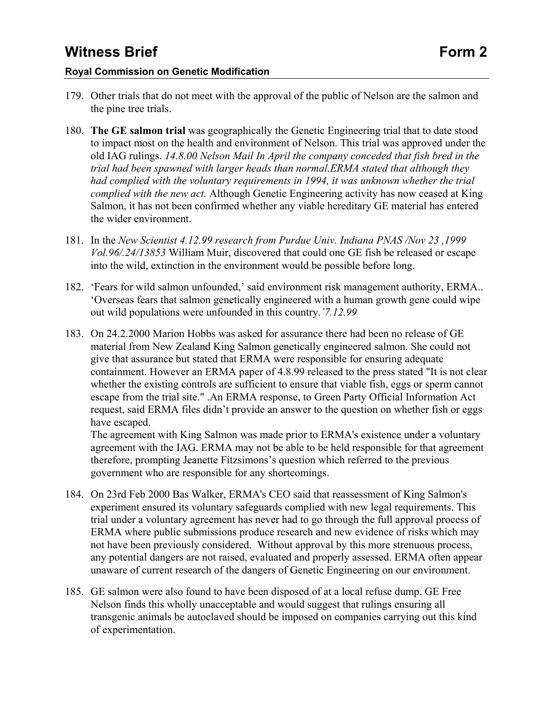### **Royal Commission on Genetic Modification**

- 179. Other trials that do not meet with the approval of the public of Nelson are the salmon and the pine tree trials.
- 180. **The GE salmon trial** was geographically the Genetic Engineering trial that to date stood to impact most on the health and environment of Nelson. This trial was approved under the old IAG rulings. *14.8.00 Nelson Mail In April the company conceded that fish bred in the trial had been spawned with larger heads than normal.ERMA stated that although they had complied with the voluntary requirements in 1994, it was unknown whether the trial complied with the new act.* Although Genetic Engineering activity has now ceased at King Salmon, it has not been confirmed whether any viable hereditary GE material has entered the wider environment.
- 181. In the *New Scientist 4.12.99 research from Purdue Univ. Indiana PNAS /Nov 23 ,1999 Vol.96/.24/13853* William Muir, discovered that could one GE fish be released or escape into the wild, extinction in the environment would be possible before long.
- 182. 'Fears for wild salmon unfounded,' said environment risk management authority, ERMA.. 'Overseas fears that salmon genetically engineered with a human growth gene could wipe out wild populations were unfounded in this country.*'7.12.99*
- 183. On 24.2.2000 Marion Hobbs was asked for assurance there had been no release of GE material from New Zealand King Salmon genetically engineered salmon. She could not give that assurance but stated that ERMA were responsible for ensuring adequate containment. However an ERMA paper of 4.8.99 released to the press stated "It is not clear whether the existing controls are sufficient to ensure that viable fish, eggs or sperm cannot escape from the trial site." .An ERMA response, to Green Party Official Information Act request, said ERMA files didn't provide an answer to the question on whether fish or eggs have escaped.

The agreement with King Salmon was made prior to ERMA's existence under a voluntary agreement with the IAG. ERMA may not be able to be held responsible for that agreement therefore, prompting Jeanette Fitzsimons's question which referred to the previous government who are responsible for any shortcomings.

- 184. On 23rd Feb 2000 Bas Walker, ERMA's CEO said that reassessment of King Salmon's experiment ensured its voluntary safeguards complied with new legal requirements. This trial under a voluntary agreement has never had to go through the full approval process of ERMA where public submissions produce research and new evidence of risks which may not have been previously considered. Without approval by this more strenuous process, any potential dangers are not raised, evaluated and properly assessed. ERMA often appear unaware of current research of the dangers of Genetic Engineering on our environment.
- 185. GE salmon were also found to have been disposed of at a local refuse dump. GE Free Nelson finds this wholly unacceptable and would suggest that rulings ensuring all transgenic animals be autoclaved should be imposed on companies carrying out this kind of experimentation.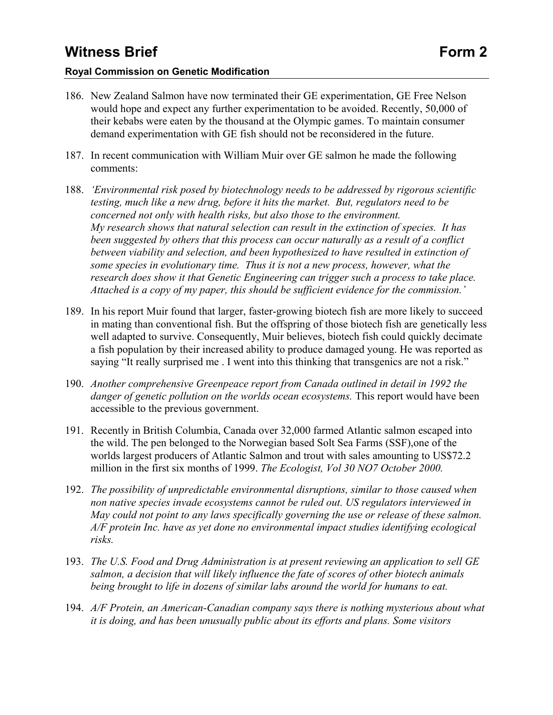#### **Royal Commission on Genetic Modification**

- 186. New Zealand Salmon have now terminated their GE experimentation, GE Free Nelson would hope and expect any further experimentation to be avoided. Recently, 50,000 of their kebabs were eaten by the thousand at the Olympic games. To maintain consumer demand experimentation with GE fish should not be reconsidered in the future.
- 187. In recent communication with William Muir over GE salmon he made the following comments:
- 188. *'Environmental risk posed by biotechnology needs to be addressed by rigorous scientific testing, much like a new drug, before it hits the market. But, regulators need to be concerned not only with health risks, but also those to the environment. My research shows that natural selection can result in the extinction of species. It has been suggested by others that this process can occur naturally as a result of a conflict between viability and selection, and been hypothesized to have resulted in extinction of some species in evolutionary time. Thus it is not a new process, however, what the research does show it that Genetic Engineering can trigger such a process to take place. Attached is a copy of my paper, this should be sufficient evidence for the commission.'*
- 189. In his report Muir found that larger, faster-growing biotech fish are more likely to succeed in mating than conventional fish. But the offspring of those biotech fish are genetically less well adapted to survive. Consequently, Muir believes, biotech fish could quickly decimate a fish population by their increased ability to produce damaged young. He was reported as saying "It really surprised me. I went into this thinking that transgenics are not a risk."
- 190. *Another comprehensive Greenpeace report from Canada outlined in detail in 1992 the danger of genetic pollution on the worlds ocean ecosystems.* This report would have been accessible to the previous government.
- 191. Recently in British Columbia, Canada over 32,000 farmed Atlantic salmon escaped into the wild. The pen belonged to the Norwegian based Solt Sea Farms (SSF),one of the worlds largest producers of Atlantic Salmon and trout with sales amounting to US\$72.2 million in the first six months of 1999. *The Ecologist, Vol 30 NO7 October 2000.*
- 192. *The possibility of unpredictable environmental disruptions, similar to those caused when non native species invade ecosystems cannot be ruled out. US regulators interviewed in May could not point to any laws specifically governing the use or release of these salmon. A/F protein Inc. have as yet done no environmental impact studies identifying ecological risks.*
- 193. *The U.S. Food and Drug Administration is at present reviewing an application to sell GE salmon, a decision that will likely influence the fate of scores of other biotech animals being brought to life in dozens of similar labs around the world for humans to eat.*
- 194. *A/F Protein, an American-Canadian company says there is nothing mysterious about what it is doing, and has been unusually public about its efforts and plans. Some visitors*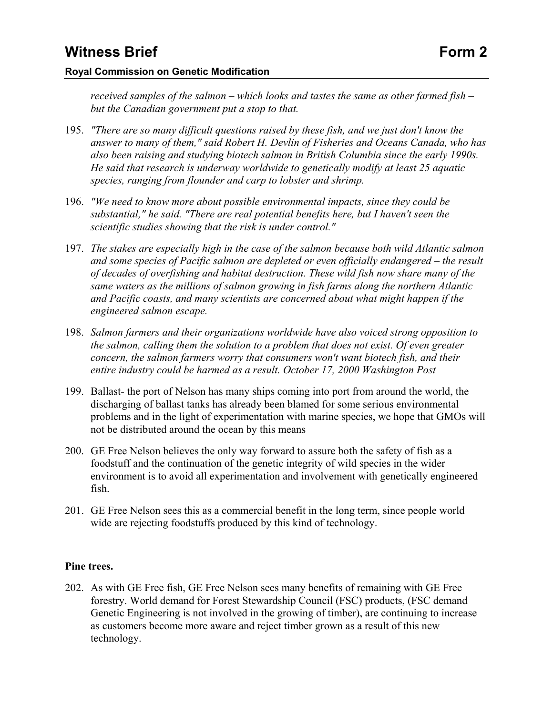#### **Royal Commission on Genetic Modification**

*received samples of the salmon – which looks and tastes the same as other farmed fish – but the Canadian government put a stop to that.* 

- 195. *"There are so many difficult questions raised by these fish, and we just don't know the answer to many of them," said Robert H. Devlin of Fisheries and Oceans Canada, who has also been raising and studying biotech salmon in British Columbia since the early 1990s. He said that research is underway worldwide to genetically modify at least 25 aquatic species, ranging from flounder and carp to lobster and shrimp.*
- 196. *"We need to know more about possible environmental impacts, since they could be substantial," he said. "There are real potential benefits here, but I haven't seen the scientific studies showing that the risk is under control."*
- 197. *The stakes are especially high in the case of the salmon because both wild Atlantic salmon and some species of Pacific salmon are depleted or even officially endangered – the result of decades of overfishing and habitat destruction. These wild fish now share many of the same waters as the millions of salmon growing in fish farms along the northern Atlantic and Pacific coasts, and many scientists are concerned about what might happen if the engineered salmon escape.*
- 198. *Salmon farmers and their organizations worldwide have also voiced strong opposition to the salmon, calling them the solution to a problem that does not exist. Of even greater concern, the salmon farmers worry that consumers won't want biotech fish, and their entire industry could be harmed as a result. October 17, 2000 Washington Post*
- 199. Ballast- the port of Nelson has many ships coming into port from around the world, the discharging of ballast tanks has already been blamed for some serious environmental problems and in the light of experimentation with marine species, we hope that GMOs will not be distributed around the ocean by this means
- 200. GE Free Nelson believes the only way forward to assure both the safety of fish as a foodstuff and the continuation of the genetic integrity of wild species in the wider environment is to avoid all experimentation and involvement with genetically engineered fish.
- 201. GE Free Nelson sees this as a commercial benefit in the long term, since people world wide are rejecting foodstuffs produced by this kind of technology.

### **Pine trees.**

202. As with GE Free fish, GE Free Nelson sees many benefits of remaining with GE Free forestry. World demand for Forest Stewardship Council (FSC) products, (FSC demand Genetic Engineering is not involved in the growing of timber), are continuing to increase as customers become more aware and reject timber grown as a result of this new technology.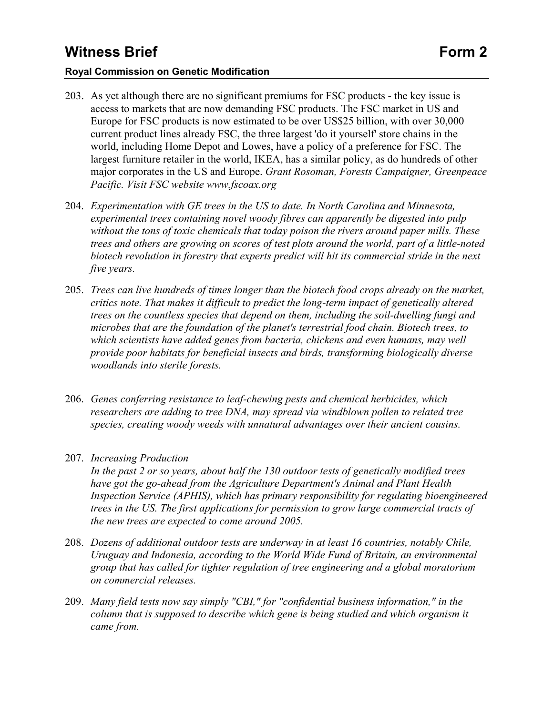### **Royal Commission on Genetic Modification**

- 203. As yet although there are no significant premiums for FSC products the key issue is access to markets that are now demanding FSC products. The FSC market in US and Europe for FSC products is now estimated to be over US\$25 billion, with over 30,000 current product lines already FSC, the three largest 'do it yourself' store chains in the world, including Home Depot and Lowes, have a policy of a preference for FSC. The largest furniture retailer in the world, IKEA, has a similar policy, as do hundreds of other major corporates in the US and Europe. *Grant Rosoman, Forests Campaigner, Greenpeace Pacific. Visit FSC website www.fscoax.org*
- 204. *Experimentation with GE trees in the US to date. In North Carolina and Minnesota, experimental trees containing novel woody fibres can apparently be digested into pulp without the tons of toxic chemicals that today poison the rivers around paper mills. These trees and others are growing on scores of test plots around the world, part of a little-noted biotech revolution in forestry that experts predict will hit its commercial stride in the next five years.*
- 205. *Trees can live hundreds of times longer than the biotech food crops already on the market, critics note. That makes it difficult to predict the long-term impact of genetically altered trees on the countless species that depend on them, including the soil-dwelling fungi and microbes that are the foundation of the planet's terrestrial food chain. Biotech trees, to which scientists have added genes from bacteria, chickens and even humans, may well provide poor habitats for beneficial insects and birds, transforming biologically diverse woodlands into sterile forests.*
- 206. *Genes conferring resistance to leaf-chewing pests and chemical herbicides, which researchers are adding to tree DNA, may spread via windblown pollen to related tree species, creating woody weeds with unnatural advantages over their ancient cousins.*
- 207. *Increasing Production*

*In the past 2 or so years, about half the 130 outdoor tests of genetically modified trees have got the go-ahead from the Agriculture Department's Animal and Plant Health Inspection Service (APHIS), which has primary responsibility for regulating bioengineered trees in the US. The first applications for permission to grow large commercial tracts of the new trees are expected to come around 2005.* 

- 208. *Dozens of additional outdoor tests are underway in at least 16 countries, notably Chile, Uruguay and Indonesia, according to the World Wide Fund of Britain, an environmental group that has called for tighter regulation of tree engineering and a global moratorium on commercial releases.*
- 209. *Many field tests now say simply "CBI," for "confidential business information," in the column that is supposed to describe which gene is being studied and which organism it came from.*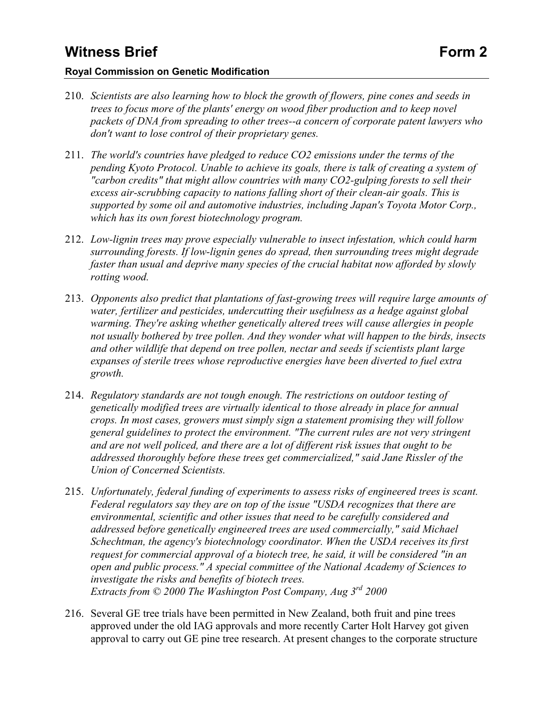### **Royal Commission on Genetic Modification**

- 210. *Scientists are also learning how to block the growth of flowers, pine cones and seeds in trees to focus more of the plants' energy on wood fiber production and to keep novel packets of DNA from spreading to other trees--a concern of corporate patent lawyers who don't want to lose control of their proprietary genes.*
- 211. *The world's countries have pledged to reduce CO2 emissions under the terms of the pending Kyoto Protocol. Unable to achieve its goals, there is talk of creating a system of "carbon credits" that might allow countries with many CO2-gulping forests to sell their excess air-scrubbing capacity to nations falling short of their clean-air goals. This is supported by some oil and automotive industries, including Japan's Toyota Motor Corp., which has its own forest biotechnology program.*
- 212. *Low-lignin trees may prove especially vulnerable to insect infestation, which could harm surrounding forests. If low-lignin genes do spread, then surrounding trees might degrade faster than usual and deprive many species of the crucial habitat now afforded by slowly rotting wood.*
- 213. *Opponents also predict that plantations of fast-growing trees will require large amounts of water, fertilizer and pesticides, undercutting their usefulness as a hedge against global warming. They're asking whether genetically altered trees will cause allergies in people not usually bothered by tree pollen. And they wonder what will happen to the birds, insects and other wildlife that depend on tree pollen, nectar and seeds if scientists plant large expanses of sterile trees whose reproductive energies have been diverted to fuel extra growth.*
- 214. *Regulatory standards are not tough enough. The restrictions on outdoor testing of genetically modified trees are virtually identical to those already in place for annual crops. In most cases, growers must simply sign a statement promising they will follow general guidelines to protect the environment. "The current rules are not very stringent and are not well policed, and there are a lot of different risk issues that ought to be addressed thoroughly before these trees get commercialized," said Jane Rissler of the Union of Concerned Scientists.*
- 215. *Unfortunately, federal funding of experiments to assess risks of engineered trees is scant. Federal regulators say they are on top of the issue "USDA recognizes that there are environmental, scientific and other issues that need to be carefully considered and addressed before genetically engineered trees are used commercially," said Michael Schechtman, the agency's biotechnology coordinator. When the USDA receives its first request for commercial approval of a biotech tree, he said, it will be considered "in an open and public process." A special committee of the National Academy of Sciences to investigate the risks and benefits of biotech trees. Extracts from © 2000 The Washington Post Company, Aug 3rd 2000*
- 216. Several GE tree trials have been permitted in New Zealand, both fruit and pine trees approved under the old IAG approvals and more recently Carter Holt Harvey got given approval to carry out GE pine tree research. At present changes to the corporate structure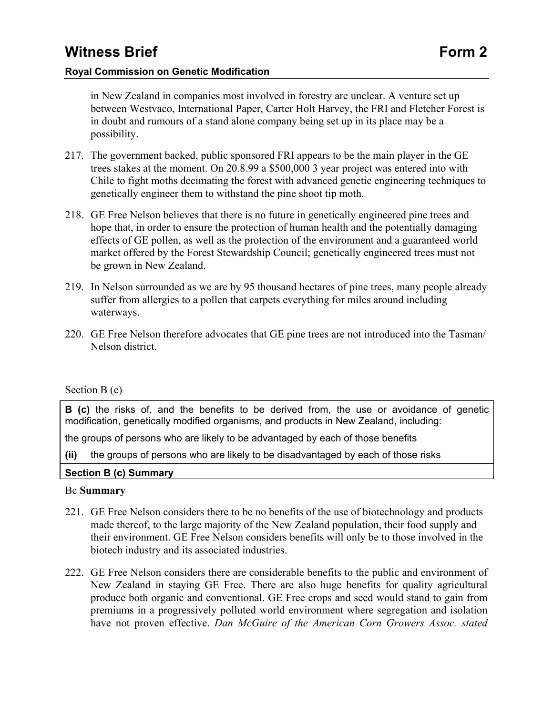in New Zealand in companies most involved in forestry are unclear. A venture set up between Westvaco, International Paper, Carter Holt Harvey, the FRI and Fletcher Forest is in doubt and rumours of a stand alone company being set up in its place may be a possibility.

- 217. The government backed, public sponsored FRI appears to be the main player in the GE trees stakes at the moment. On 20.8.99 a \$500,000 3 year project was entered into with Chile to fight moths decimating the forest with advanced genetic engineering techniques to genetically engineer them to withstand the pine shoot tip moth.
- 218. GE Free Nelson believes that there is no future in genetically engineered pine trees and hope that, in order to ensure the protection of human health and the potentially damaging effects of GE pollen, as well as the protection of the environment and a guaranteed world market offered by the Forest Stewardship Council; genetically engineered trees must not be grown in New Zealand.
- 219. In Nelson surrounded as we are by 95 thousand hectares of pine trees, many people already suffer from allergies to a pollen that carpets everything for miles around including waterways.
- 220. GE Free Nelson therefore advocates that GE pine trees are not introduced into the Tasman/ Nelson district.

### Section B (c)

**B** (c) the risks of, and the benefits to be derived from, the use or avoidance of genetic modification, genetically modified organisms, and products in New Zealand, including:

the groups of persons who are likely to be advantaged by each of those benefits

**(ii)** the groups of persons who are likely to be disadvantaged by each of those risks

### **Section B (c) Summary**

### Bc **Summary**

- 221. GE Free Nelson considers there to be no benefits of the use of biotechnology and products made thereof, to the large majority of the New Zealand population, their food supply and their environment. GE Free Nelson considers benefits will only be to those involved in the biotech industry and its associated industries.
- 222. GE Free Nelson considers there are considerable benefits to the public and environment of New Zealand in staying GE Free. There are also huge benefits for quality agricultural produce both organic and conventional. GE Free crops and seed would stand to gain from premiums in a progressively polluted world environment where segregation and isolation have not proven effective. *Dan McGuire of the American Corn Growers Assoc. stated*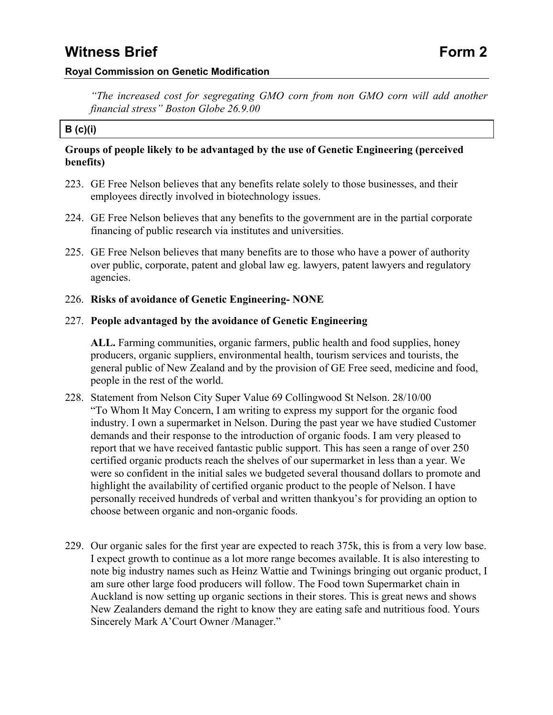### **Royal Commission on Genetic Modification**

*"The increased cost for segregating GMO corn from non GMO corn will add another financial stress" Boston Globe 26.9.00*

### **B (c)(i)**

### **Groups of people likely to be advantaged by the use of Genetic Engineering (perceived benefits)**

- 223. GE Free Nelson believes that any benefits relate solely to those businesses, and their employees directly involved in biotechnology issues.
- 224. GE Free Nelson believes that any benefits to the government are in the partial corporate financing of public research via institutes and universities.
- 225. GE Free Nelson believes that many benefits are to those who have a power of authority over public, corporate, patent and global law eg. lawyers, patent lawyers and regulatory agencies.

### 226. **Risks of avoidance of Genetic Engineering- NONE**

### 227. **People advantaged by the avoidance of Genetic Engineering**

**ALL.** Farming communities, organic farmers, public health and food supplies, honey producers, organic suppliers, environmental health, tourism services and tourists, the general public of New Zealand and by the provision of GE Free seed, medicine and food, people in the rest of the world.

- 228. Statement from Nelson City Super Value 69 Collingwood St Nelson. 28/10/00 "To Whom It May Concern, I am writing to express my support for the organic food industry. I own a supermarket in Nelson. During the past year we have studied Customer demands and their response to the introduction of organic foods. I am very pleased to report that we have received fantastic public support. This has seen a range of over 250 certified organic products reach the shelves of our supermarket in less than a year. We were so confident in the initial sales we budgeted several thousand dollars to promote and highlight the availability of certified organic product to the people of Nelson. I have personally received hundreds of verbal and written thankyou's for providing an option to choose between organic and non-organic foods.
- 229. Our organic sales for the first year are expected to reach 375k, this is from a very low base. I expect growth to continue as a lot more range becomes available. It is also interesting to note big industry names such as Heinz Wattie and Twinings bringing out organic product, I am sure other large food producers will follow. The Food town Supermarket chain in Auckland is now setting up organic sections in their stores. This is great news and shows New Zealanders demand the right to know they are eating safe and nutritious food. Yours Sincerely Mark A'Court Owner /Manager."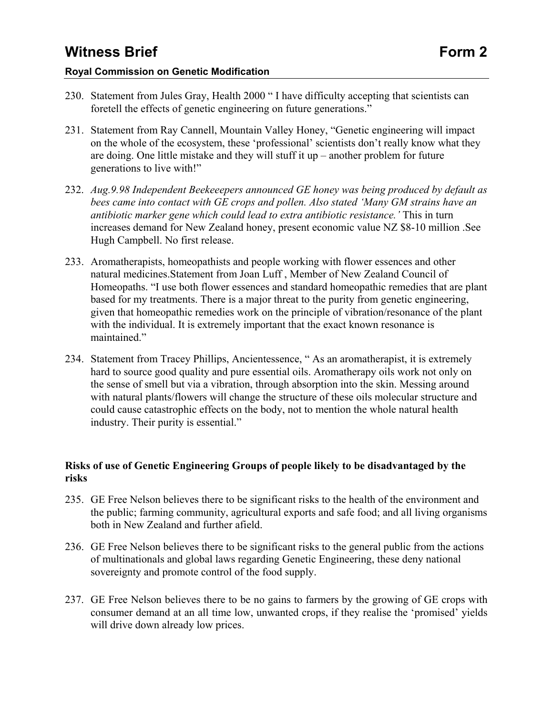### **Royal Commission on Genetic Modification**

- 230. Statement from Jules Gray, Health 2000 " I have difficulty accepting that scientists can foretell the effects of genetic engineering on future generations."
- 231. Statement from Ray Cannell, Mountain Valley Honey, "Genetic engineering will impact on the whole of the ecosystem, these 'professional' scientists don't really know what they are doing. One little mistake and they will stuff it up – another problem for future generations to live with!"
- 232. *Aug.9.98 Independent Beekeeepers announced GE honey was being produced by default as bees came into contact with GE crops and pollen. Also stated 'Many GM strains have an antibiotic marker gene which could lead to extra antibiotic resistance.'* This in turn increases demand for New Zealand honey, present economic value NZ \$8-10 million .See Hugh Campbell. No first release.
- 233. Aromatherapists, homeopathists and people working with flower essences and other natural medicines.Statement from Joan Luff , Member of New Zealand Council of Homeopaths. "I use both flower essences and standard homeopathic remedies that are plant based for my treatments. There is a major threat to the purity from genetic engineering, given that homeopathic remedies work on the principle of vibration/resonance of the plant with the individual. It is extremely important that the exact known resonance is maintained."
- 234. Statement from Tracey Phillips, Ancientessence, " As an aromatherapist, it is extremely hard to source good quality and pure essential oils. Aromatherapy oils work not only on the sense of smell but via a vibration, through absorption into the skin. Messing around with natural plants/flowers will change the structure of these oils molecular structure and could cause catastrophic effects on the body, not to mention the whole natural health industry. Their purity is essential."

### **Risks of use of Genetic Engineering Groups of people likely to be disadvantaged by the risks**

- 235. GE Free Nelson believes there to be significant risks to the health of the environment and the public; farming community, agricultural exports and safe food; and all living organisms both in New Zealand and further afield.
- 236. GE Free Nelson believes there to be significant risks to the general public from the actions of multinationals and global laws regarding Genetic Engineering, these deny national sovereignty and promote control of the food supply.
- 237. GE Free Nelson believes there to be no gains to farmers by the growing of GE crops with consumer demand at an all time low, unwanted crops, if they realise the 'promised' yields will drive down already low prices.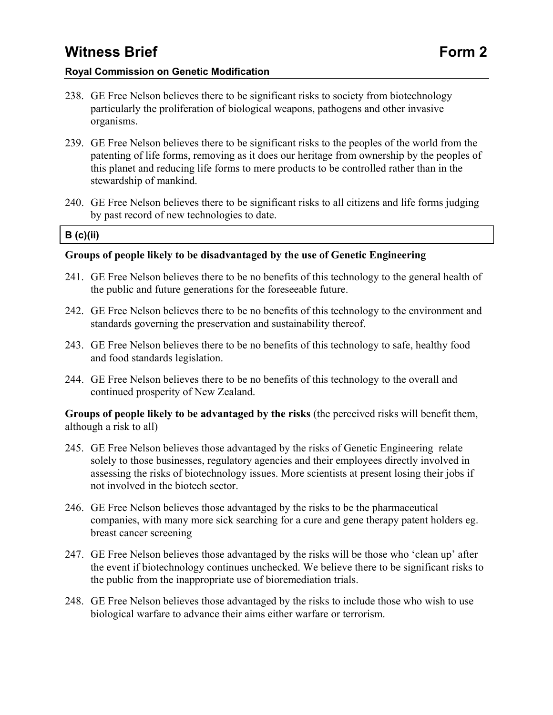#### **Royal Commission on Genetic Modification**

- 238. GE Free Nelson believes there to be significant risks to society from biotechnology particularly the proliferation of biological weapons, pathogens and other invasive organisms.
- 239. GE Free Nelson believes there to be significant risks to the peoples of the world from the patenting of life forms, removing as it does our heritage from ownership by the peoples of this planet and reducing life forms to mere products to be controlled rather than in the stewardship of mankind.
- 240. GE Free Nelson believes there to be significant risks to all citizens and life forms judging by past record of new technologies to date.

#### **B (c)(ii)**

### **Groups of people likely to be disadvantaged by the use of Genetic Engineering**

- 241. GE Free Nelson believes there to be no benefits of this technology to the general health of the public and future generations for the foreseeable future.
- 242. GE Free Nelson believes there to be no benefits of this technology to the environment and standards governing the preservation and sustainability thereof.
- 243. GE Free Nelson believes there to be no benefits of this technology to safe, healthy food and food standards legislation.
- 244. GE Free Nelson believes there to be no benefits of this technology to the overall and continued prosperity of New Zealand.

**Groups of people likely to be advantaged by the risks** (the perceived risks will benefit them, although a risk to all)

- 245. GE Free Nelson believes those advantaged by the risks of Genetic Engineering relate solely to those businesses, regulatory agencies and their employees directly involved in assessing the risks of biotechnology issues. More scientists at present losing their jobs if not involved in the biotech sector.
- 246. GE Free Nelson believes those advantaged by the risks to be the pharmaceutical companies, with many more sick searching for a cure and gene therapy patent holders eg. breast cancer screening
- 247. GE Free Nelson believes those advantaged by the risks will be those who 'clean up' after the event if biotechnology continues unchecked. We believe there to be significant risks to the public from the inappropriate use of bioremediation trials.
- 248. GE Free Nelson believes those advantaged by the risks to include those who wish to use biological warfare to advance their aims either warfare or terrorism.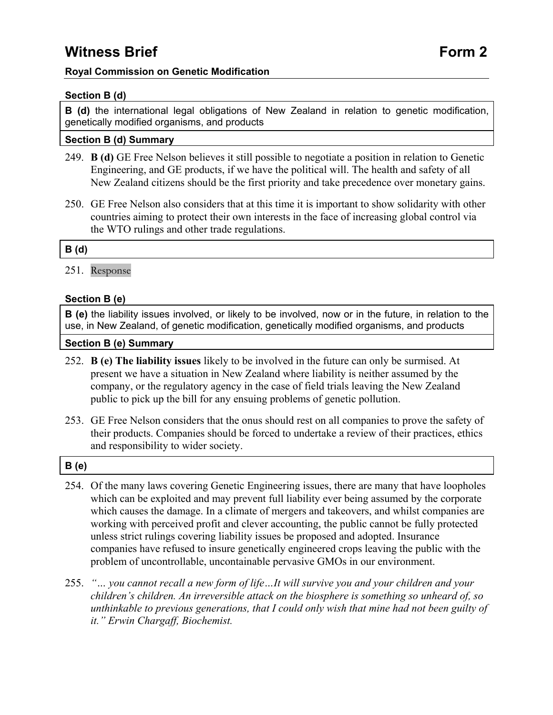### **Royal Commission on Genetic Modification**

### **Section B (d)**

**B (d)** the international legal obligations of New Zealand in relation to genetic modification, genetically modified organisms, and products

### **Section B (d) Summary**

- 249. **B (d)** GE Free Nelson believes it still possible to negotiate a position in relation to Genetic Engineering, and GE products, if we have the political will. The health and safety of all New Zealand citizens should be the first priority and take precedence over monetary gains.
- 250. GE Free Nelson also considers that at this time it is important to show solidarity with other countries aiming to protect their own interests in the face of increasing global control via the WTO rulings and other trade regulations.

#### **B (d)**

251. Response

### **Section B (e)**

**B (e)** the liability issues involved, or likely to be involved, now or in the future, in relation to the use, in New Zealand, of genetic modification, genetically modified organisms, and products

#### **Section B (e) Summary**

- 252. **B (e) The liability issues** likely to be involved in the future can only be surmised. At present we have a situation in New Zealand where liability is neither assumed by the company, or the regulatory agency in the case of field trials leaving the New Zealand public to pick up the bill for any ensuing problems of genetic pollution.
- 253. GE Free Nelson considers that the onus should rest on all companies to prove the safety of their products. Companies should be forced to undertake a review of their practices, ethics and responsibility to wider society.

### **B (e)**

- 254. Of the many laws covering Genetic Engineering issues, there are many that have loopholes which can be exploited and may prevent full liability ever being assumed by the corporate which causes the damage. In a climate of mergers and takeovers, and whilst companies are working with perceived profit and clever accounting, the public cannot be fully protected unless strict rulings covering liability issues be proposed and adopted. Insurance companies have refused to insure genetically engineered crops leaving the public with the problem of uncontrollable, uncontainable pervasive GMOs in our environment.
- 255. *"… you cannot recall a new form of life…It will survive you and your children and your children's children. An irreversible attack on the biosphere is something so unheard of, so unthinkable to previous generations, that I could only wish that mine had not been guilty of it." Erwin Chargaff, Biochemist.*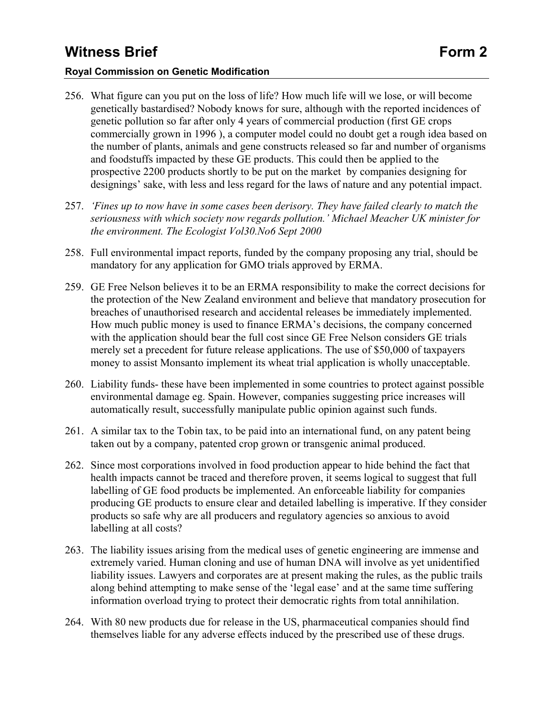### **Royal Commission on Genetic Modification**

- 256. What figure can you put on the loss of life? How much life will we lose, or will become genetically bastardised? Nobody knows for sure, although with the reported incidences of genetic pollution so far after only 4 years of commercial production (first GE crops commercially grown in 1996 ), a computer model could no doubt get a rough idea based on the number of plants, animals and gene constructs released so far and number of organisms and foodstuffs impacted by these GE products. This could then be applied to the prospective 2200 products shortly to be put on the market by companies designing for designings' sake, with less and less regard for the laws of nature and any potential impact.
- 257. *'Fines up to now have in some cases been derisory. They have failed clearly to match the seriousness with which society now regards pollution.' Michael Meacher UK minister for the environment. The Ecologist Vol30.No6 Sept 2000*
- 258. Full environmental impact reports, funded by the company proposing any trial, should be mandatory for any application for GMO trials approved by ERMA.
- 259. GE Free Nelson believes it to be an ERMA responsibility to make the correct decisions for the protection of the New Zealand environment and believe that mandatory prosecution for breaches of unauthorised research and accidental releases be immediately implemented. How much public money is used to finance ERMA's decisions, the company concerned with the application should bear the full cost since GE Free Nelson considers GE trials merely set a precedent for future release applications. The use of \$50,000 of taxpayers money to assist Monsanto implement its wheat trial application is wholly unacceptable.
- 260. Liability funds- these have been implemented in some countries to protect against possible environmental damage eg. Spain. However, companies suggesting price increases will automatically result, successfully manipulate public opinion against such funds.
- 261. A similar tax to the Tobin tax, to be paid into an international fund, on any patent being taken out by a company, patented crop grown or transgenic animal produced.
- 262. Since most corporations involved in food production appear to hide behind the fact that health impacts cannot be traced and therefore proven, it seems logical to suggest that full labelling of GE food products be implemented. An enforceable liability for companies producing GE products to ensure clear and detailed labelling is imperative. If they consider products so safe why are all producers and regulatory agencies so anxious to avoid labelling at all costs?
- 263. The liability issues arising from the medical uses of genetic engineering are immense and extremely varied. Human cloning and use of human DNA will involve as yet unidentified liability issues. Lawyers and corporates are at present making the rules, as the public trails along behind attempting to make sense of the 'legal ease' and at the same time suffering information overload trying to protect their democratic rights from total annihilation.
- 264. With 80 new products due for release in the US, pharmaceutical companies should find themselves liable for any adverse effects induced by the prescribed use of these drugs.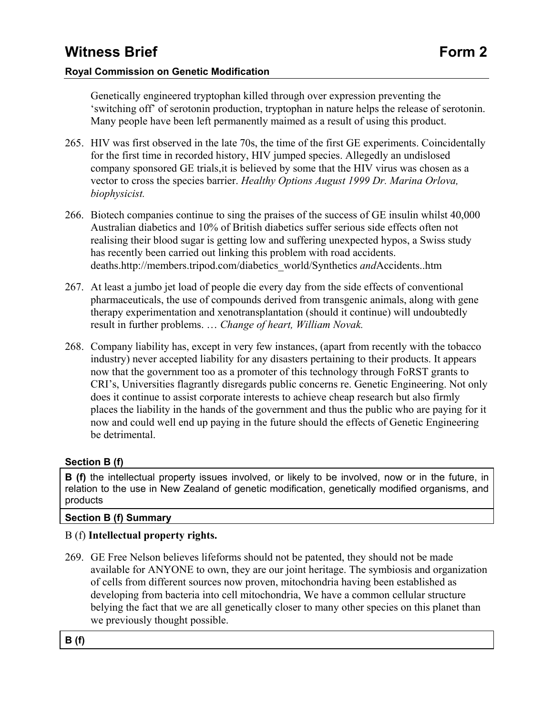Genetically engineered tryptophan killed through over expression preventing the 'switching off' of serotonin production, tryptophan in nature helps the release of serotonin. Many people have been left permanently maimed as a result of using this product.

- 265. HIV was first observed in the late 70s, the time of the first GE experiments. Coincidentally for the first time in recorded history, HIV jumped species. Allegedly an undislosed company sponsored GE trials,it is believed by some that the HIV virus was chosen as a vector to cross the species barrier. *Healthy Options August 1999 Dr. Marina Orlova, biophysicist.*
- 266. Biotech companies continue to sing the praises of the success of GE insulin whilst 40,000 Australian diabetics and 10% of British diabetics suffer serious side effects often not realising their blood sugar is getting low and suffering unexpected hypos, a Swiss study has recently been carried out linking this problem with road accidents. deaths.http://members.tripod.com/diabetics\_world/Synthetics *and*Accidents..htm
- 267. At least a jumbo jet load of people die every day from the side effects of conventional pharmaceuticals, the use of compounds derived from transgenic animals, along with gene therapy experimentation and xenotransplantation (should it continue) will undoubtedly result in further problems. … *Change of heart, William Novak.*
- 268. Company liability has, except in very few instances, (apart from recently with the tobacco industry) never accepted liability for any disasters pertaining to their products. It appears now that the government too as a promoter of this technology through FoRST grants to CRI's, Universities flagrantly disregards public concerns re. Genetic Engineering. Not only does it continue to assist corporate interests to achieve cheap research but also firmly places the liability in the hands of the government and thus the public who are paying for it now and could well end up paying in the future should the effects of Genetic Engineering be detrimental.

### **Section B (f)**

**B (f)** the intellectual property issues involved, or likely to be involved, now or in the future, in relation to the use in New Zealand of genetic modification, genetically modified organisms, and products

### **Section B (f) Summary**

### B (f) **Intellectual property rights.**

269. GE Free Nelson believes lifeforms should not be patented, they should not be made available for ANYONE to own, they are our joint heritage. The symbiosis and organization of cells from different sources now proven, mitochondria having been established as developing from bacteria into cell mitochondria, We have a common cellular structure belying the fact that we are all genetically closer to many other species on this planet than we previously thought possible.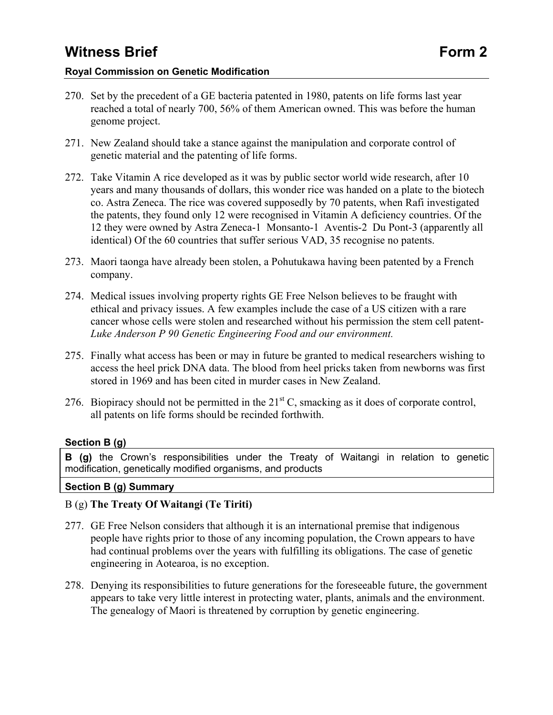### **Royal Commission on Genetic Modification**

- 270. Set by the precedent of a GE bacteria patented in 1980, patents on life forms last year reached a total of nearly 700, 56% of them American owned. This was before the human genome project.
- 271. New Zealand should take a stance against the manipulation and corporate control of genetic material and the patenting of life forms.
- 272. Take Vitamin A rice developed as it was by public sector world wide research, after 10 years and many thousands of dollars, this wonder rice was handed on a plate to the biotech co. Astra Zeneca. The rice was covered supposedly by 70 patents, when Rafi investigated the patents, they found only 12 were recognised in Vitamin A deficiency countries. Of the 12 they were owned by Astra Zeneca-1 Monsanto-1 Aventis-2 Du Pont-3 (apparently all identical) Of the 60 countries that suffer serious VAD, 35 recognise no patents.
- 273. Maori taonga have already been stolen, a Pohutukawa having been patented by a French company.
- 274. Medical issues involving property rights GE Free Nelson believes to be fraught with ethical and privacy issues. A few examples include the case of a US citizen with a rare cancer whose cells were stolen and researched without his permission the stem cell patent-*Luke Anderson P 90 Genetic Engineering Food and our environment.*
- 275. Finally what access has been or may in future be granted to medical researchers wishing to access the heel prick DNA data. The blood from heel pricks taken from newborns was first stored in 1969 and has been cited in murder cases in New Zealand.
- 276. Biopiracy should not be permitted in the  $21<sup>st</sup>$  C, smacking as it does of corporate control, all patents on life forms should be recinded forthwith.

### **Section B (g)**

**B (g)** the Crown's responsibilities under the Treaty of Waitangi in relation to genetic modification, genetically modified organisms, and products

### **Section B (g) Summary**

### B (g) **The Treaty Of Waitangi (Te Tiriti)**

- 277. GE Free Nelson considers that although it is an international premise that indigenous people have rights prior to those of any incoming population, the Crown appears to have had continual problems over the years with fulfilling its obligations. The case of genetic engineering in Aotearoa, is no exception.
- 278. Denying its responsibilities to future generations for the foreseeable future, the government appears to take very little interest in protecting water, plants, animals and the environment. The genealogy of Maori is threatened by corruption by genetic engineering.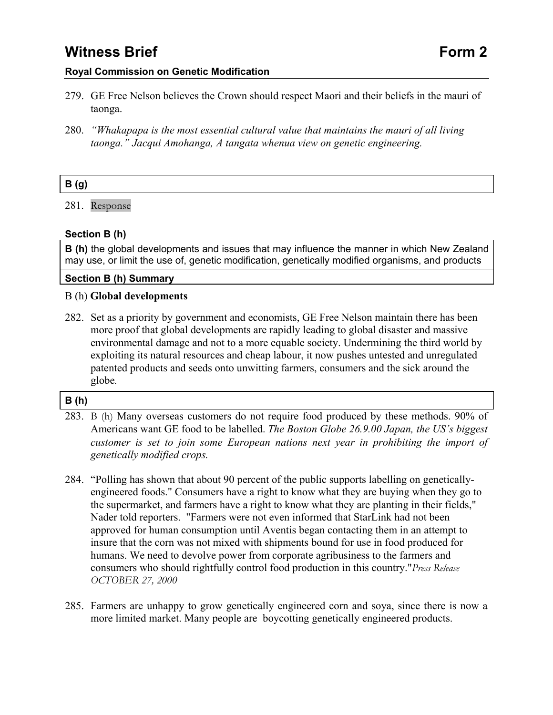### **Royal Commission on Genetic Modification**

- 279. GE Free Nelson believes the Crown should respect Maori and their beliefs in the mauri of taonga.
- 280. *"Whakapapa is the most essential cultural value that maintains the mauri of all living taonga." Jacqui Amohanga, A tangata whenua view on genetic engineering.*

### **B (g)**

281. Response

### **Section B (h)**

**B (h)** the global developments and issues that may influence the manner in which New Zealand may use, or limit the use of, genetic modification, genetically modified organisms, and products

#### **Section B (h) Summary**

#### B (h) **Global developments**

282. Set as a priority by government and economists, GE Free Nelson maintain there has been more proof that global developments are rapidly leading to global disaster and massive environmental damage and not to a more equable society. Undermining the third world by exploiting its natural resources and cheap labour, it now pushes untested and unregulated patented products and seeds onto unwitting farmers, consumers and the sick around the globe*.* 

### **B (h)**

- 283. B (h) Many overseas customers do not require food produced by these methods. 90% of Americans want GE food to be labelled. *The Boston Globe 26.9.00 Japan, the US's biggest customer is set to join some European nations next year in prohibiting the import of genetically modified crops.*
- 284. "Polling has shown that about 90 percent of the public supports labelling on geneticallyengineered foods." Consumers have a right to know what they are buying when they go to the supermarket, and farmers have a right to know what they are planting in their fields," Nader told reporters. "Farmers were not even informed that StarLink had not been approved for human consumption until Aventis began contacting them in an attempt to insure that the corn was not mixed with shipments bound for use in food produced for humans. We need to devolve power from corporate agribusiness to the farmers and consumers who should rightfully control food production in this country."*Press Release OCTOBER 27, 2000*
- 285. Farmers are unhappy to grow genetically engineered corn and soya, since there is now a more limited market. Many people are boycotting genetically engineered products.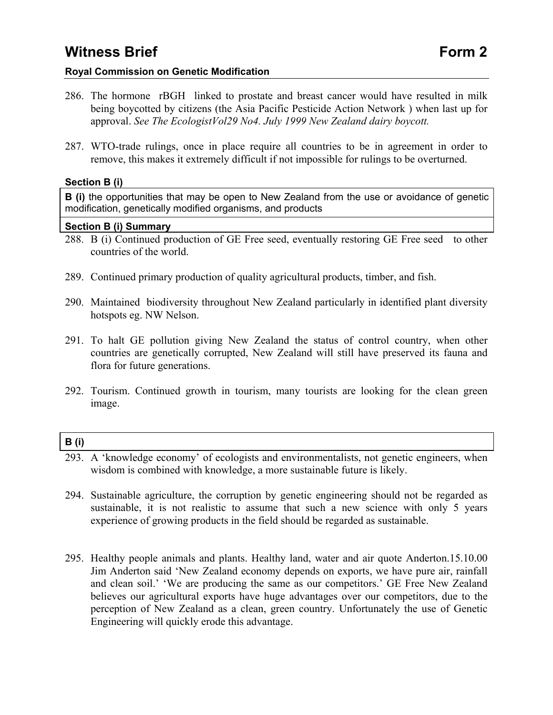### **Royal Commission on Genetic Modification**

- 286. The hormone rBGH linked to prostate and breast cancer would have resulted in milk being boycotted by citizens (the Asia Pacific Pesticide Action Network ) when last up for approval. *See The EcologistVol29 No4. July 1999 New Zealand dairy boycott.*
- 287. WTO-trade rulings, once in place require all countries to be in agreement in order to remove, this makes it extremely difficult if not impossible for rulings to be overturned.

### **Section B (i)**

**B** (i) the opportunities that may be open to New Zealand from the use or avoidance of genetic modification, genetically modified organisms, and products

#### **Section B (i) Summary**

- 288. B (i) Continued production of GE Free seed, eventually restoring GE Free seed to other countries of the world.
- 289. Continued primary production of quality agricultural products, timber, and fish.
- 290. Maintained biodiversity throughout New Zealand particularly in identified plant diversity hotspots eg. NW Nelson.
- 291. To halt GE pollution giving New Zealand the status of control country, when other countries are genetically corrupted, New Zealand will still have preserved its fauna and flora for future generations.
- 292. Tourism. Continued growth in tourism, many tourists are looking for the clean green image.

### **B (i)**

- 293. A 'knowledge economy' of ecologists and environmentalists, not genetic engineers, when wisdom is combined with knowledge, a more sustainable future is likely.
- 294. Sustainable agriculture, the corruption by genetic engineering should not be regarded as sustainable, it is not realistic to assume that such a new science with only 5 years experience of growing products in the field should be regarded as sustainable.
- 295. Healthy people animals and plants. Healthy land, water and air quote Anderton.15.10.00 Jim Anderton said 'New Zealand economy depends on exports, we have pure air, rainfall and clean soil.' 'We are producing the same as our competitors.' GE Free New Zealand believes our agricultural exports have huge advantages over our competitors, due to the perception of New Zealand as a clean, green country. Unfortunately the use of Genetic Engineering will quickly erode this advantage.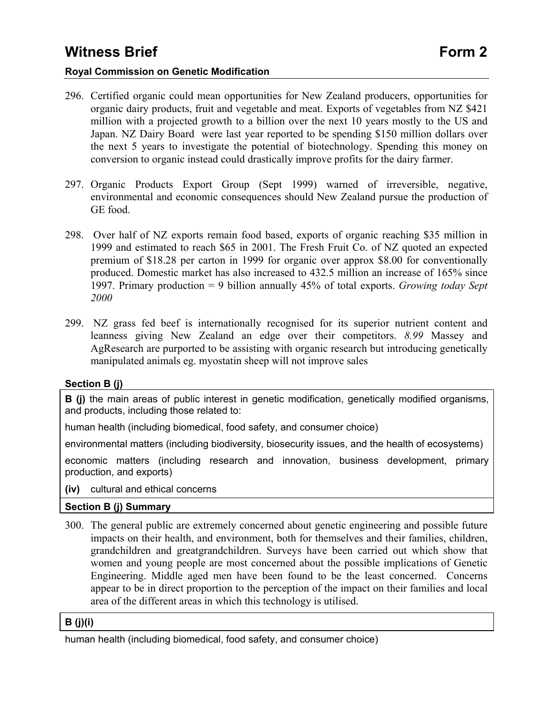### **Royal Commission on Genetic Modification**

- 296. Certified organic could mean opportunities for New Zealand producers, opportunities for organic dairy products, fruit and vegetable and meat. Exports of vegetables from NZ \$421 million with a projected growth to a billion over the next 10 years mostly to the US and Japan. NZ Dairy Board were last year reported to be spending \$150 million dollars over the next 5 years to investigate the potential of biotechnology. Spending this money on conversion to organic instead could drastically improve profits for the dairy farmer.
- 297. Organic Products Export Group (Sept 1999) warned of irreversible, negative, environmental and economic consequences should New Zealand pursue the production of GE food.
- 298. Over half of NZ exports remain food based, exports of organic reaching \$35 million in 1999 and estimated to reach \$65 in 2001. The Fresh Fruit Co. of NZ quoted an expected premium of \$18.28 per carton in 1999 for organic over approx \$8.00 for conventionally produced. Domestic market has also increased to 432.5 million an increase of 165% since 1997. Primary production = 9 billion annually 45% of total exports. *Growing today Sept 2000*
- 299. NZ grass fed beef is internationally recognised for its superior nutrient content and leanness giving New Zealand an edge over their competitors. *8.99* Massey and AgResearch are purported to be assisting with organic research but introducing genetically manipulated animals eg. myostatin sheep will not improve sales

### **Section B (j)**

**B** (i) the main areas of public interest in genetic modification, genetically modified organisms, and products, including those related to:

human health (including biomedical, food safety, and consumer choice)

environmental matters (including biodiversity, biosecurity issues, and the health of ecosystems)

economic matters (including research and innovation, business development, primary production, and exports)

**(iv)** cultural and ethical concerns

### **Section B (j) Summary**

300. The general public are extremely concerned about genetic engineering and possible future impacts on their health, and environment, both for themselves and their families, children, grandchildren and greatgrandchildren. Surveys have been carried out which show that women and young people are most concerned about the possible implications of Genetic Engineering. Middle aged men have been found to be the least concerned. Concerns appear to be in direct proportion to the perception of the impact on their families and local area of the different areas in which this technology is utilised.

### **B (j)(i)**

human health (including biomedical, food safety, and consumer choice)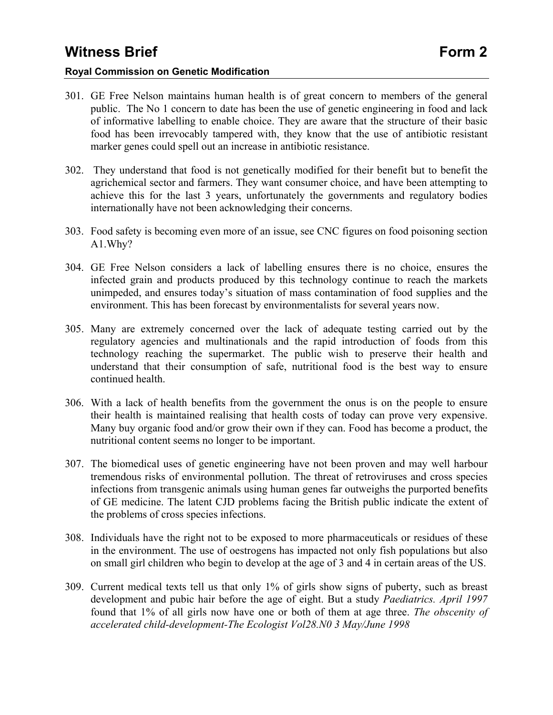### **Royal Commission on Genetic Modification**

- 301. GE Free Nelson maintains human health is of great concern to members of the general public. The No 1 concern to date has been the use of genetic engineering in food and lack of informative labelling to enable choice. They are aware that the structure of their basic food has been irrevocably tampered with, they know that the use of antibiotic resistant marker genes could spell out an increase in antibiotic resistance.
- 302. They understand that food is not genetically modified for their benefit but to benefit the agrichemical sector and farmers. They want consumer choice, and have been attempting to achieve this for the last 3 years, unfortunately the governments and regulatory bodies internationally have not been acknowledging their concerns.
- 303. Food safety is becoming even more of an issue, see CNC figures on food poisoning section A1.Why?
- 304. GE Free Nelson considers a lack of labelling ensures there is no choice, ensures the infected grain and products produced by this technology continue to reach the markets unimpeded, and ensures today's situation of mass contamination of food supplies and the environment. This has been forecast by environmentalists for several years now.
- 305. Many are extremely concerned over the lack of adequate testing carried out by the regulatory agencies and multinationals and the rapid introduction of foods from this technology reaching the supermarket. The public wish to preserve their health and understand that their consumption of safe, nutritional food is the best way to ensure continued health.
- 306. With a lack of health benefits from the government the onus is on the people to ensure their health is maintained realising that health costs of today can prove very expensive. Many buy organic food and/or grow their own if they can. Food has become a product, the nutritional content seems no longer to be important.
- 307. The biomedical uses of genetic engineering have not been proven and may well harbour tremendous risks of environmental pollution. The threat of retroviruses and cross species infections from transgenic animals using human genes far outweighs the purported benefits of GE medicine. The latent CJD problems facing the British public indicate the extent of the problems of cross species infections.
- 308. Individuals have the right not to be exposed to more pharmaceuticals or residues of these in the environment. The use of oestrogens has impacted not only fish populations but also on small girl children who begin to develop at the age of 3 and 4 in certain areas of the US.
- 309. Current medical texts tell us that only 1% of girls show signs of puberty, such as breast development and pubic hair before the age of eight. But a study *Paediatrics. April 1997*  found that 1% of all girls now have one or both of them at age three. *The obscenity of accelerated child-development-The Ecologist Vol28.N0 3 May/June 1998*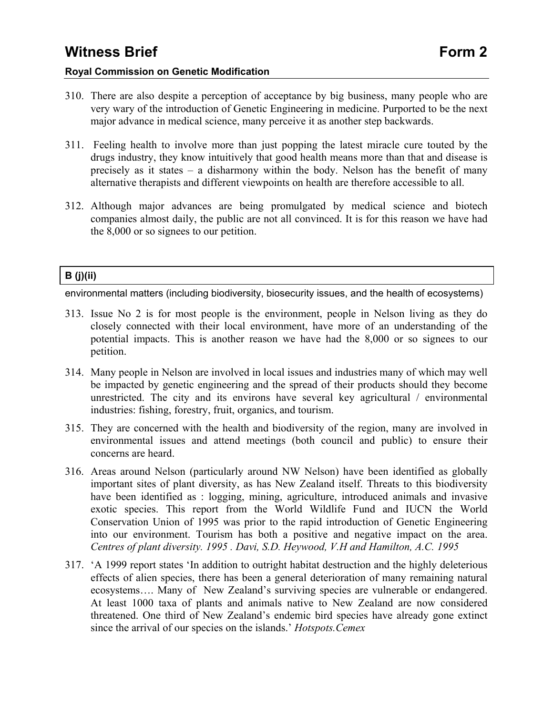- 310. There are also despite a perception of acceptance by big business, many people who are very wary of the introduction of Genetic Engineering in medicine. Purported to be the next major advance in medical science, many perceive it as another step backwards.
- 311. Feeling health to involve more than just popping the latest miracle cure touted by the drugs industry, they know intuitively that good health means more than that and disease is precisely as it states – a disharmony within the body. Nelson has the benefit of many alternative therapists and different viewpoints on health are therefore accessible to all.
- 312. Although major advances are being promulgated by medical science and biotech companies almost daily, the public are not all convinced. It is for this reason we have had the 8,000 or so signees to our petition.

### **B (j)(ii)**

environmental matters (including biodiversity, biosecurity issues, and the health of ecosystems)

- 313. Issue No 2 is for most people is the environment, people in Nelson living as they do closely connected with their local environment, have more of an understanding of the potential impacts. This is another reason we have had the 8,000 or so signees to our petition.
- 314. Many people in Nelson are involved in local issues and industries many of which may well be impacted by genetic engineering and the spread of their products should they become unrestricted. The city and its environs have several key agricultural / environmental industries: fishing, forestry, fruit, organics, and tourism.
- 315. They are concerned with the health and biodiversity of the region, many are involved in environmental issues and attend meetings (both council and public) to ensure their concerns are heard.
- 316. Areas around Nelson (particularly around NW Nelson) have been identified as globally important sites of plant diversity, as has New Zealand itself. Threats to this biodiversity have been identified as : logging, mining, agriculture, introduced animals and invasive exotic species. This report from the World Wildlife Fund and IUCN the World Conservation Union of 1995 was prior to the rapid introduction of Genetic Engineering into our environment. Tourism has both a positive and negative impact on the area. *Centres of plant diversity. 1995 . Davi, S.D. Heywood, V.H and Hamilton, A.C. 1995*
- 317. 'A 1999 report states 'In addition to outright habitat destruction and the highly deleterious effects of alien species, there has been a general deterioration of many remaining natural ecosystems…. Many of New Zealand's surviving species are vulnerable or endangered. At least 1000 taxa of plants and animals native to New Zealand are now considered threatened. One third of New Zealand's endemic bird species have already gone extinct since the arrival of our species on the islands.' *Hotspots.Cemex*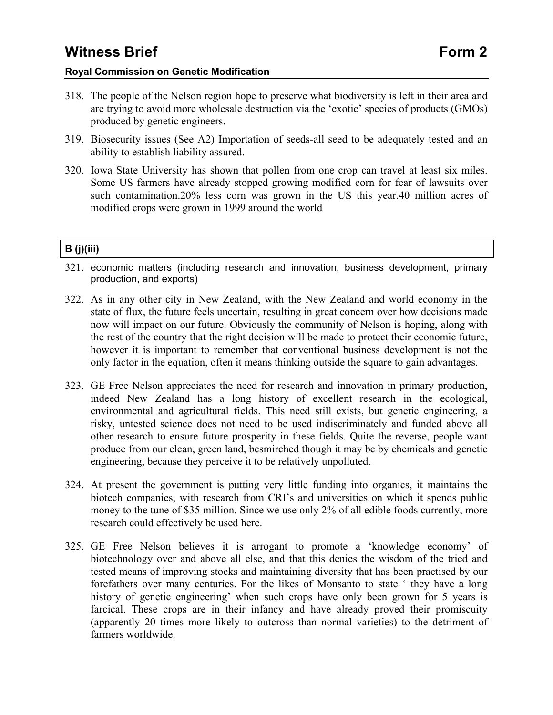- 318. The people of the Nelson region hope to preserve what biodiversity is left in their area and are trying to avoid more wholesale destruction via the 'exotic' species of products (GMOs) produced by genetic engineers.
- 319. Biosecurity issues (See A2) Importation of seeds-all seed to be adequately tested and an ability to establish liability assured.
- 320. Iowa State University has shown that pollen from one crop can travel at least six miles. Some US farmers have already stopped growing modified corn for fear of lawsuits over such contamination.20% less corn was grown in the US this year.40 million acres of modified crops were grown in 1999 around the world

### **B (j)(iii)**

- 321. economic matters (including research and innovation, business development, primary production, and exports)
- 322. As in any other city in New Zealand, with the New Zealand and world economy in the state of flux, the future feels uncertain, resulting in great concern over how decisions made now will impact on our future. Obviously the community of Nelson is hoping, along with the rest of the country that the right decision will be made to protect their economic future, however it is important to remember that conventional business development is not the only factor in the equation, often it means thinking outside the square to gain advantages.
- 323. GE Free Nelson appreciates the need for research and innovation in primary production, indeed New Zealand has a long history of excellent research in the ecological, environmental and agricultural fields. This need still exists, but genetic engineering, a risky, untested science does not need to be used indiscriminately and funded above all other research to ensure future prosperity in these fields. Quite the reverse, people want produce from our clean, green land, besmirched though it may be by chemicals and genetic engineering, because they perceive it to be relatively unpolluted.
- 324. At present the government is putting very little funding into organics, it maintains the biotech companies, with research from CRI's and universities on which it spends public money to the tune of \$35 million. Since we use only 2% of all edible foods currently, more research could effectively be used here.
- 325. GE Free Nelson believes it is arrogant to promote a 'knowledge economy' of biotechnology over and above all else, and that this denies the wisdom of the tried and tested means of improving stocks and maintaining diversity that has been practised by our forefathers over many centuries. For the likes of Monsanto to state ' they have a long history of genetic engineering' when such crops have only been grown for 5 years is farcical. These crops are in their infancy and have already proved their promiscuity (apparently 20 times more likely to outcross than normal varieties) to the detriment of farmers worldwide.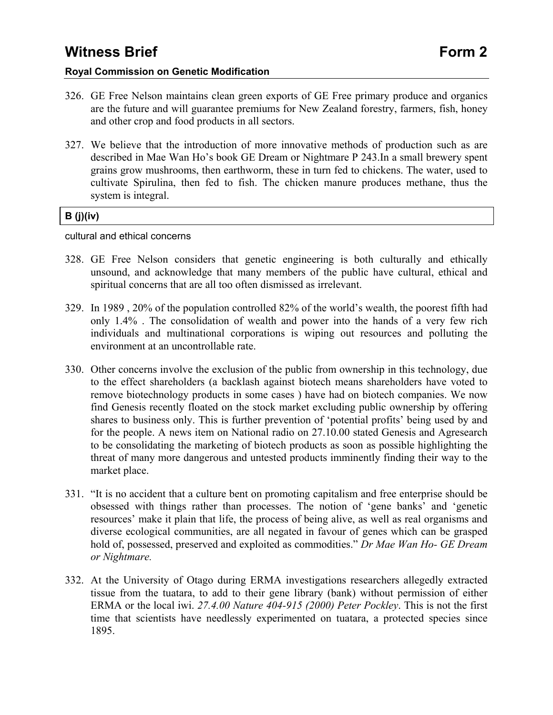### **Royal Commission on Genetic Modification**

- 326. GE Free Nelson maintains clean green exports of GE Free primary produce and organics are the future and will guarantee premiums for New Zealand forestry, farmers, fish, honey and other crop and food products in all sectors.
- 327. We believe that the introduction of more innovative methods of production such as are described in Mae Wan Ho's book GE Dream or Nightmare P 243.In a small brewery spent grains grow mushrooms, then earthworm, these in turn fed to chickens. The water, used to cultivate Spirulina, then fed to fish. The chicken manure produces methane, thus the system is integral.

### **B (j)(iv)**

cultural and ethical concerns

- 328. GE Free Nelson considers that genetic engineering is both culturally and ethically unsound, and acknowledge that many members of the public have cultural, ethical and spiritual concerns that are all too often dismissed as irrelevant.
- 329. In 1989 , 20% of the population controlled 82% of the world's wealth, the poorest fifth had only 1.4% . The consolidation of wealth and power into the hands of a very few rich individuals and multinational corporations is wiping out resources and polluting the environment at an uncontrollable rate.
- 330. Other concerns involve the exclusion of the public from ownership in this technology, due to the effect shareholders (a backlash against biotech means shareholders have voted to remove biotechnology products in some cases ) have had on biotech companies. We now find Genesis recently floated on the stock market excluding public ownership by offering shares to business only. This is further prevention of 'potential profits' being used by and for the people. A news item on National radio on 27.10.00 stated Genesis and Agresearch to be consolidating the marketing of biotech products as soon as possible highlighting the threat of many more dangerous and untested products imminently finding their way to the market place.
- 331. "It is no accident that a culture bent on promoting capitalism and free enterprise should be obsessed with things rather than processes. The notion of 'gene banks' and 'genetic resources' make it plain that life, the process of being alive, as well as real organisms and diverse ecological communities, are all negated in favour of genes which can be grasped hold of, possessed, preserved and exploited as commodities." *Dr Mae Wan Ho- GE Dream or Nightmare.*
- 332. At the University of Otago during ERMA investigations researchers allegedly extracted tissue from the tuatara, to add to their gene library (bank) without permission of either ERMA or the local iwi. *27.4.00 Nature 404-915 (2000) Peter Pockley*. This is not the first time that scientists have needlessly experimented on tuatara, a protected species since 1895.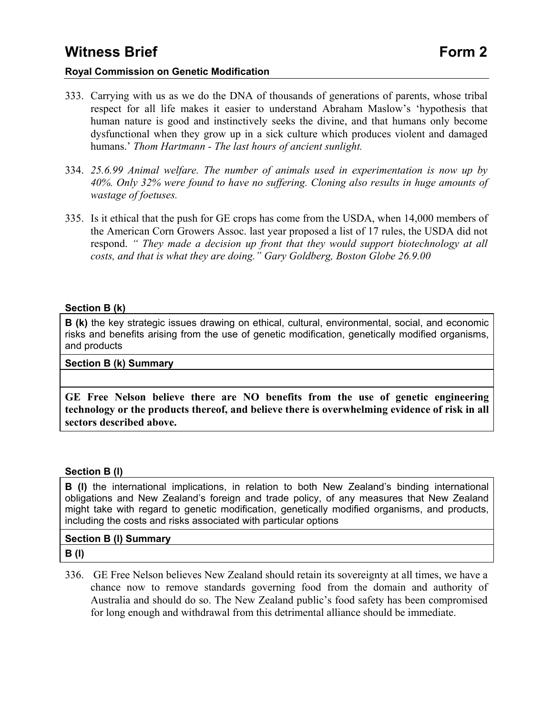### **Royal Commission on Genetic Modification**

- 333. Carrying with us as we do the DNA of thousands of generations of parents, whose tribal respect for all life makes it easier to understand Abraham Maslow's 'hypothesis that human nature is good and instinctively seeks the divine, and that humans only become dysfunctional when they grow up in a sick culture which produces violent and damaged humans.' *Thom Hartmann - The last hours of ancient sunlight.*
- 334. *25.6.99 Animal welfare. The number of animals used in experimentation is now up by 40%. Only 32% were found to have no suffering. Cloning also results in huge amounts of wastage of foetuses.*
- 335. Is it ethical that the push for GE crops has come from the USDA, when 14,000 members of the American Corn Growers Assoc. last year proposed a list of 17 rules, the USDA did not respond. *" They made a decision up front that they would support biotechnology at all costs, and that is what they are doing." Gary Goldberg, Boston Globe 26.9.00*

#### **Section B (k)**

**B** (k) the key strategic issues drawing on ethical, cultural, environmental, social, and economic risks and benefits arising from the use of genetic modification, genetically modified organisms, and products

#### **Section B (k) Summary**

**GE Free Nelson believe there are NO benefits from the use of genetic engineering technology or the products thereof, and believe there is overwhelming evidence of risk in all sectors described above.**

### **Section B (l)**

**B (l)** the international implications, in relation to both New Zealand's binding international obligations and New Zealand's foreign and trade policy, of any measures that New Zealand might take with regard to genetic modification, genetically modified organisms, and products, including the costs and risks associated with particular options

### **Section B (l) Summary**

**B (l)** 

336. GE Free Nelson believes New Zealand should retain its sovereignty at all times, we have a chance now to remove standards governing food from the domain and authority of Australia and should do so. The New Zealand public's food safety has been compromised for long enough and withdrawal from this detrimental alliance should be immediate.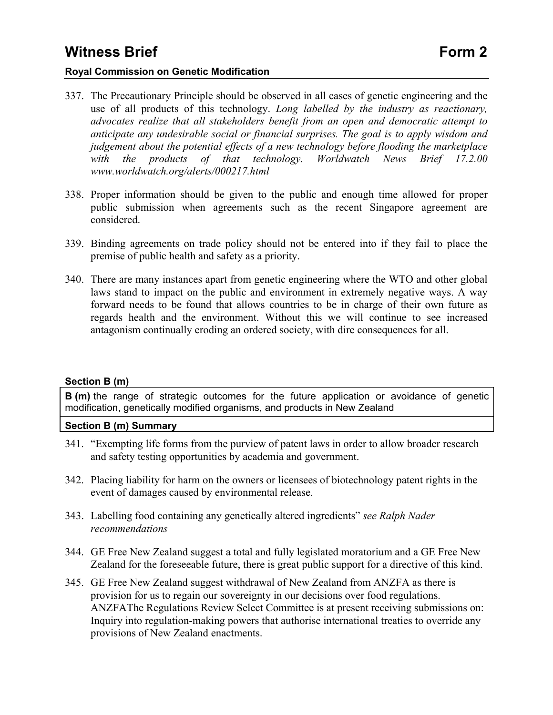### **Royal Commission on Genetic Modification**

- 337. The Precautionary Principle should be observed in all cases of genetic engineering and the use of all products of this technology. *Long labelled by the industry as reactionary, advocates realize that all stakeholders benefit from an open and democratic attempt to anticipate any undesirable social or financial surprises. The goal is to apply wisdom and judgement about the potential effects of a new technology before flooding the marketplace with the products of that technology. Worldwatch News Brief 17.2.00 www.worldwatch.org/alerts/000217.html*
- 338. Proper information should be given to the public and enough time allowed for proper public submission when agreements such as the recent Singapore agreement are considered.
- 339. Binding agreements on trade policy should not be entered into if they fail to place the premise of public health and safety as a priority.
- 340. There are many instances apart from genetic engineering where the WTO and other global laws stand to impact on the public and environment in extremely negative ways. A way forward needs to be found that allows countries to be in charge of their own future as regards health and the environment. Without this we will continue to see increased antagonism continually eroding an ordered society, with dire consequences for all.

#### **Section B (m)**

**B (m)** the range of strategic outcomes for the future application or avoidance of genetic modification, genetically modified organisms, and products in New Zealand

#### **Section B (m) Summary**

- 341. "Exempting life forms from the purview of patent laws in order to allow broader research and safety testing opportunities by academia and government.
- 342. Placing liability for harm on the owners or licensees of biotechnology patent rights in the event of damages caused by environmental release.
- 343. Labelling food containing any genetically altered ingredients" *see Ralph Nader recommendations*
- 344. GE Free New Zealand suggest a total and fully legislated moratorium and a GE Free New Zealand for the foreseeable future, there is great public support for a directive of this kind.
- 345. GE Free New Zealand suggest withdrawal of New Zealand from ANZFA as there is provision for us to regain our sovereignty in our decisions over food regulations. ANZFAThe Regulations Review Select Committee is at present receiving submissions on: Inquiry into regulation-making powers that authorise international treaties to override any provisions of New Zealand enactments.